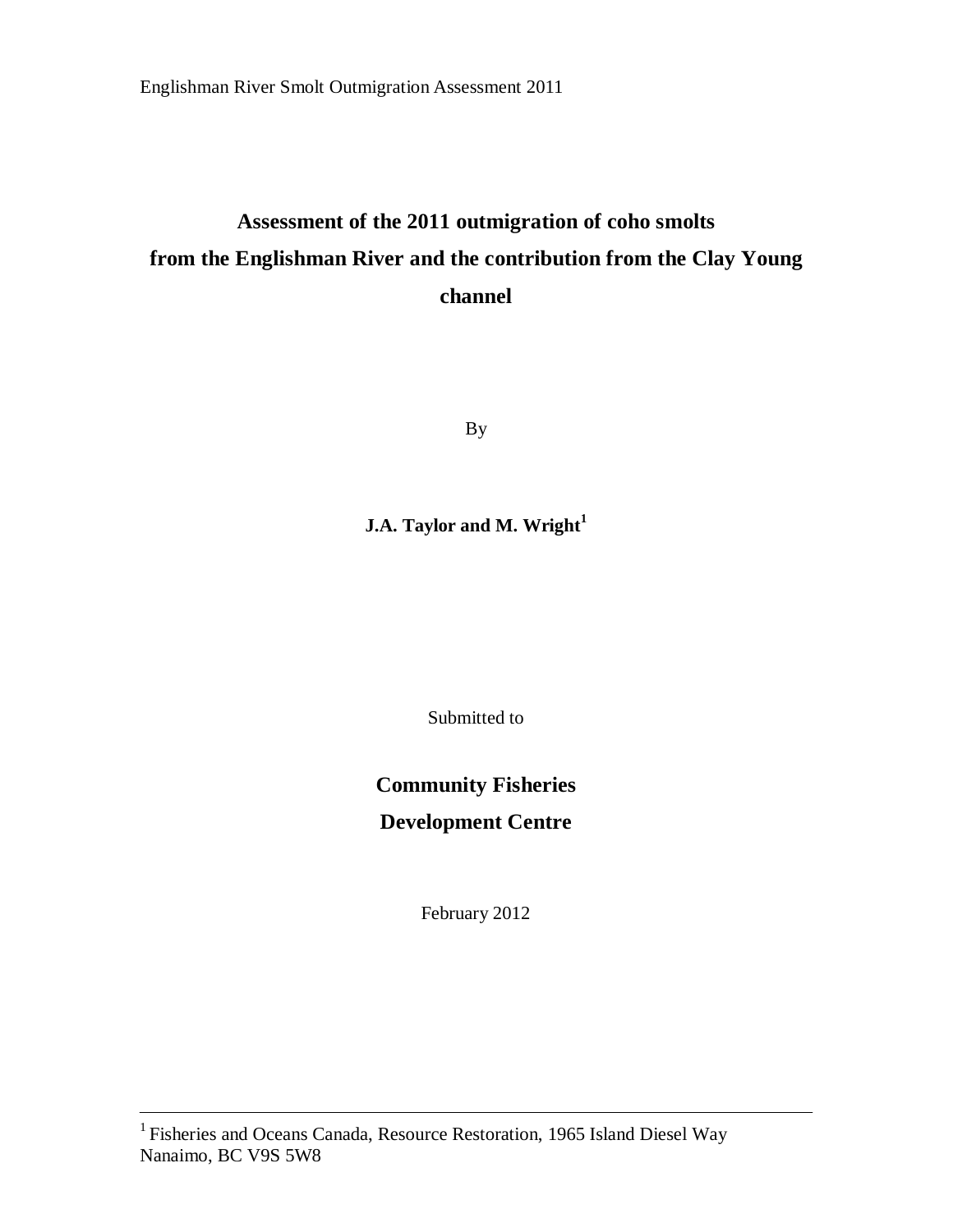# **Assessment of the 2011 outmigration of coho smolts from the Englishman River and the contribution from the Clay Young channel**

By

## **J.A. Taylor and M. Wright<sup>1</sup>**

Submitted to

# **Community Fisheries Development Centre**

February 2012

<sup>&</sup>lt;sup>1</sup> Fisheries and Oceans Canada, Resource Restoration, 1965 Island Diesel Way Nanaimo, BC V9S 5W8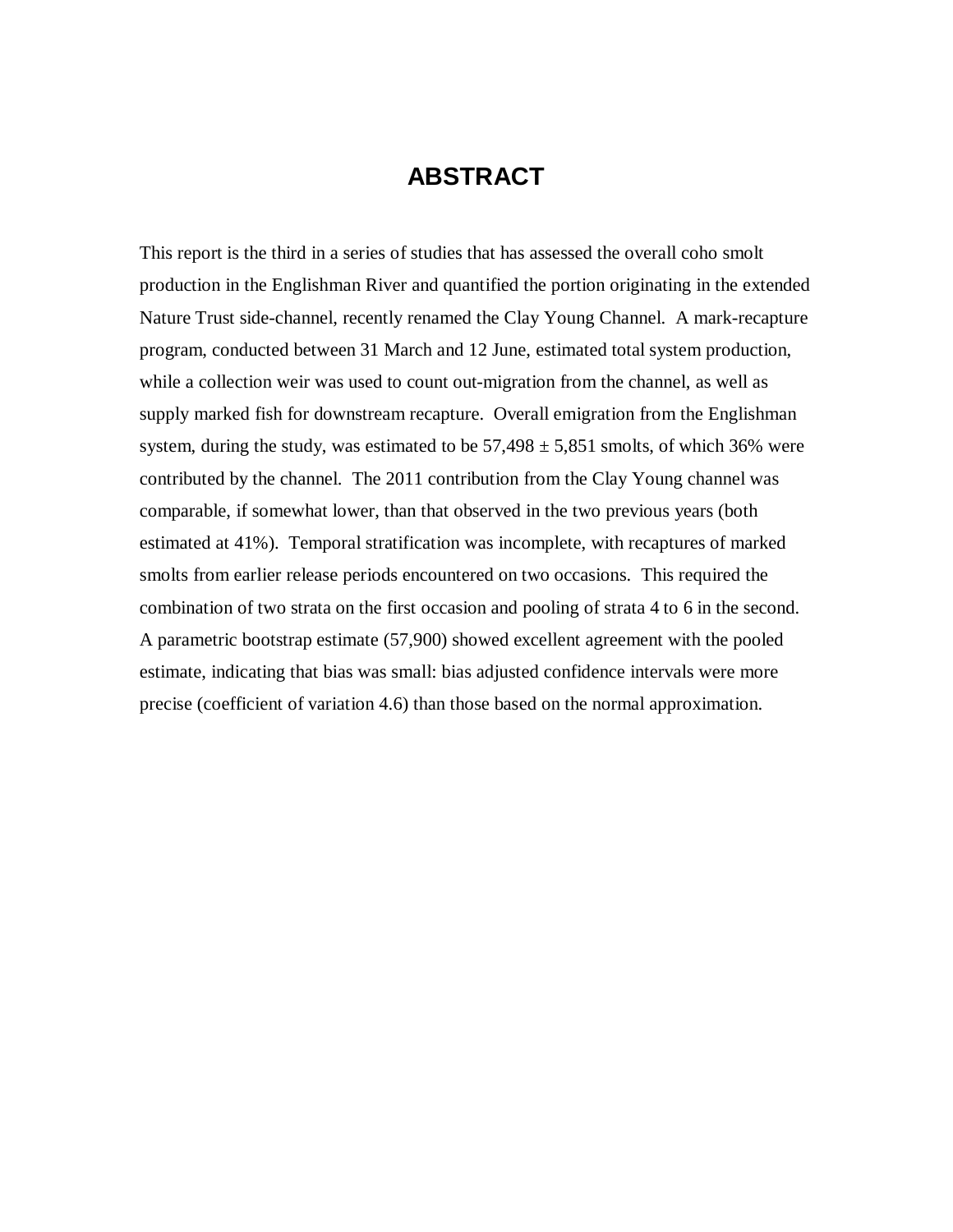# **ABSTRACT**

This report is the third in a series of studies that has assessed the overall coho smolt production in the Englishman River and quantified the portion originating in the extended Nature Trust side-channel, recently renamed the Clay Young Channel. A mark-recapture program, conducted between 31 March and 12 June, estimated total system production, while a collection weir was used to count out-migration from the channel, as well as supply marked fish for downstream recapture. Overall emigration from the Englishman system, during the study, was estimated to be  $57,498 \pm 5,851$  smolts, of which 36% were contributed by the channel. The 2011 contribution from the Clay Young channel was comparable, if somewhat lower, than that observed in the two previous years (both estimated at 41%). Temporal stratification was incomplete, with recaptures of marked smolts from earlier release periods encountered on two occasions. This required the combination of two strata on the first occasion and pooling of strata 4 to 6 in the second. A parametric bootstrap estimate (57,900) showed excellent agreement with the pooled estimate, indicating that bias was small: bias adjusted confidence intervals were more precise (coefficient of variation 4.6) than those based on the normal approximation.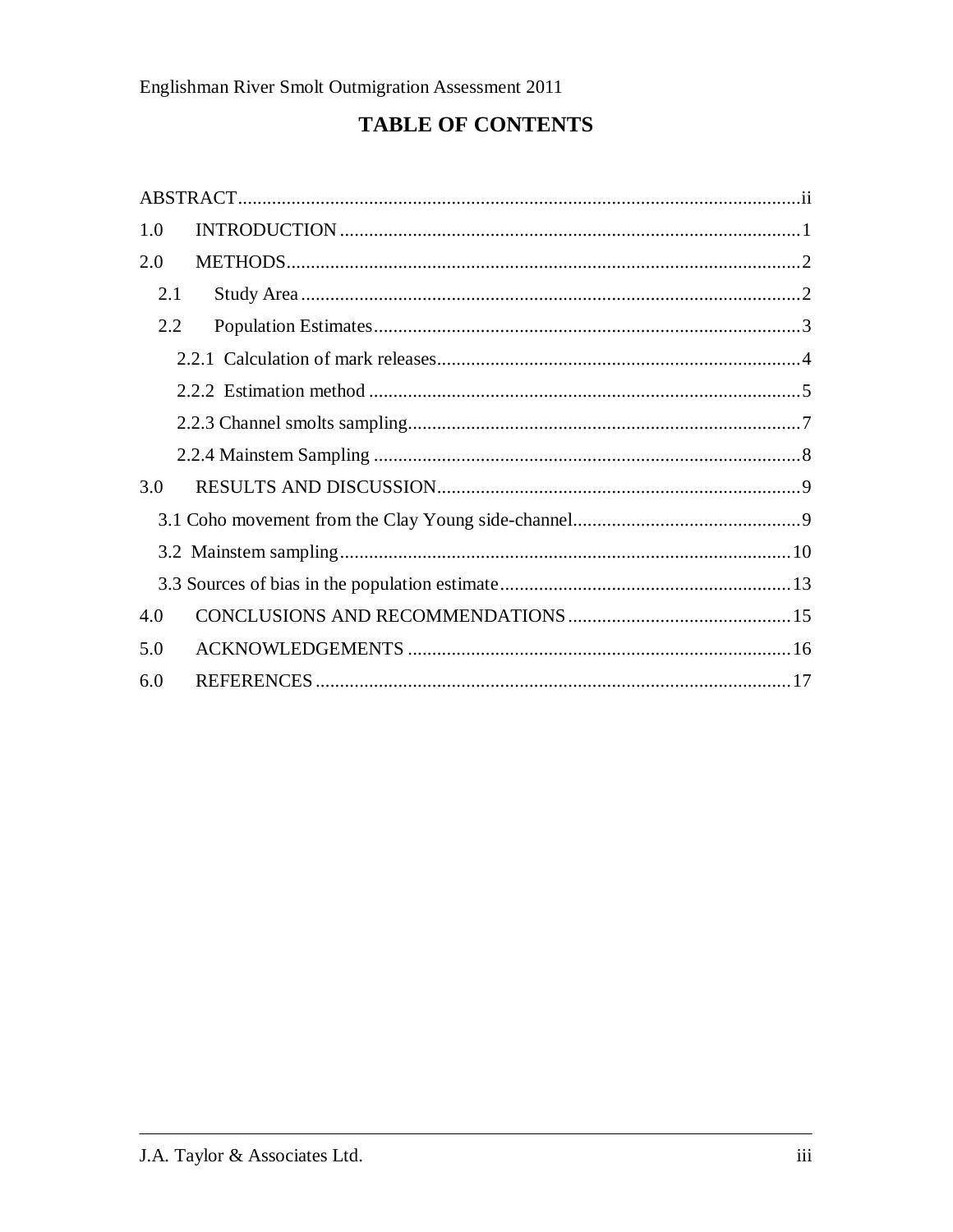# **TABLE OF CONTENTS**

| 1.0 |  |
|-----|--|
| 2.0 |  |
| 2.1 |  |
| 2.2 |  |
|     |  |
|     |  |
|     |  |
|     |  |
| 3.0 |  |
|     |  |
|     |  |
|     |  |
| 4.0 |  |
| 5.0 |  |
| 6.0 |  |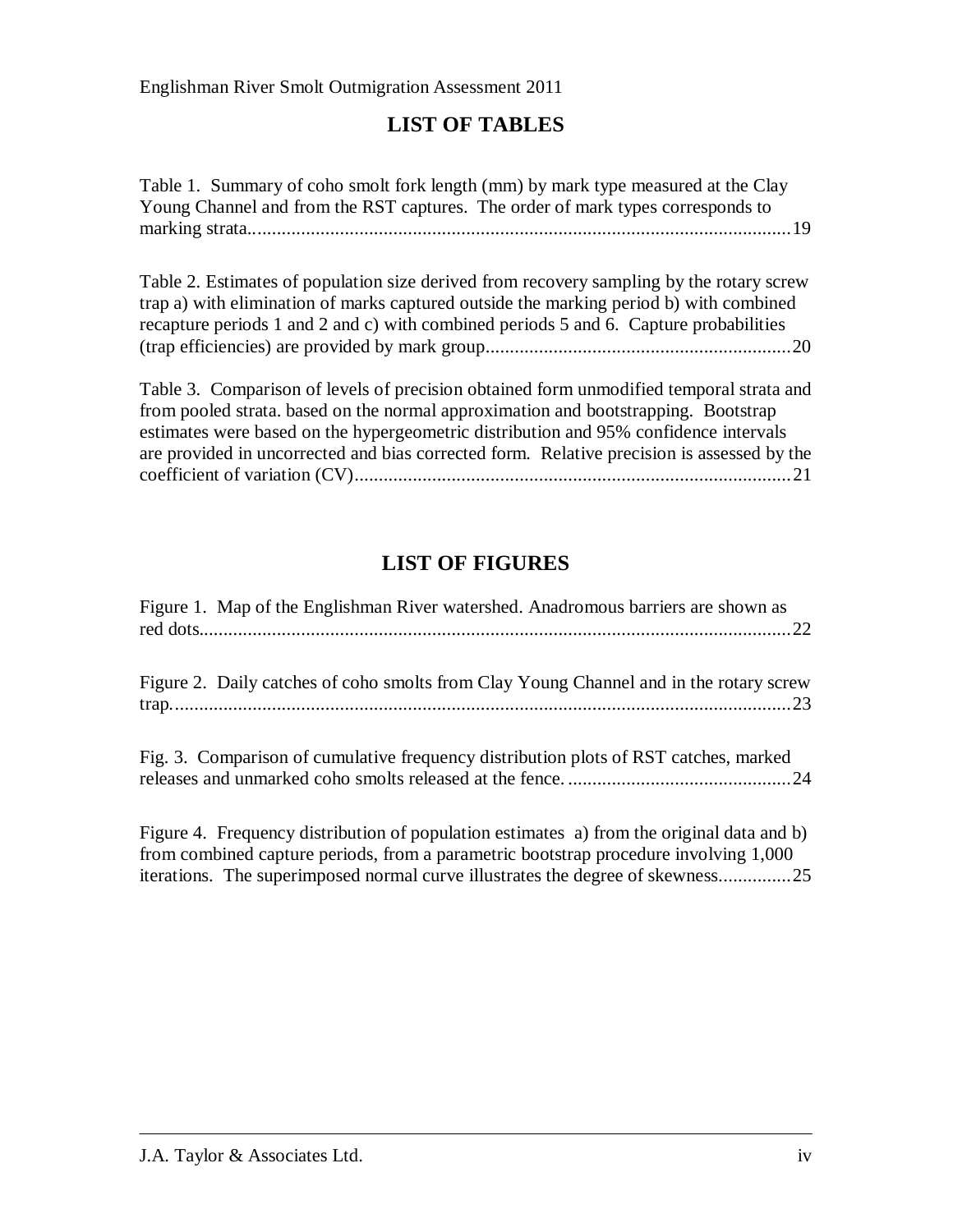## **LIST OF TABLES**

Table 1. Summary of coho smolt fork length (mm) by mark type measured at the Clay Young Channel and from the RST captures. The order of mark types corresponds to marking strata................................................................................................................19

Table 2. Estimates of population size derived from recovery sampling by the rotary screw trap a) with elimination of marks captured outside the marking period b) with combined recapture periods 1 and 2 and c) with combined periods 5 and 6. Capture probabilities (trap efficiencies) are provided by mark group...............................................................20

Table 3. Comparison of levels of precision obtained form unmodified temporal strata and from pooled strata. based on the normal approximation and bootstrapping. Bootstrap estimates were based on the hypergeometric distribution and 95% confidence intervals are provided in uncorrected and bias corrected form. Relative precision is assessed by the coefficient of variation (CV)..........................................................................................21

## **LIST OF FIGURES**

| Figure 1. Map of the Englishman River watershed. Anadromous barriers are shown as      |
|----------------------------------------------------------------------------------------|
| Figure 2. Daily catches of coho smolts from Clay Young Channel and in the rotary screw |
| Fig. 3. Comparison of cumulative frequency distribution plots of RST catches, marked   |

Figure 4. Frequency distribution of population estimates a) from the original data and b) from combined capture periods, from a parametric bootstrap procedure involving 1,000 iterations. The superimposed normal curve illustrates the degree of skewness...............25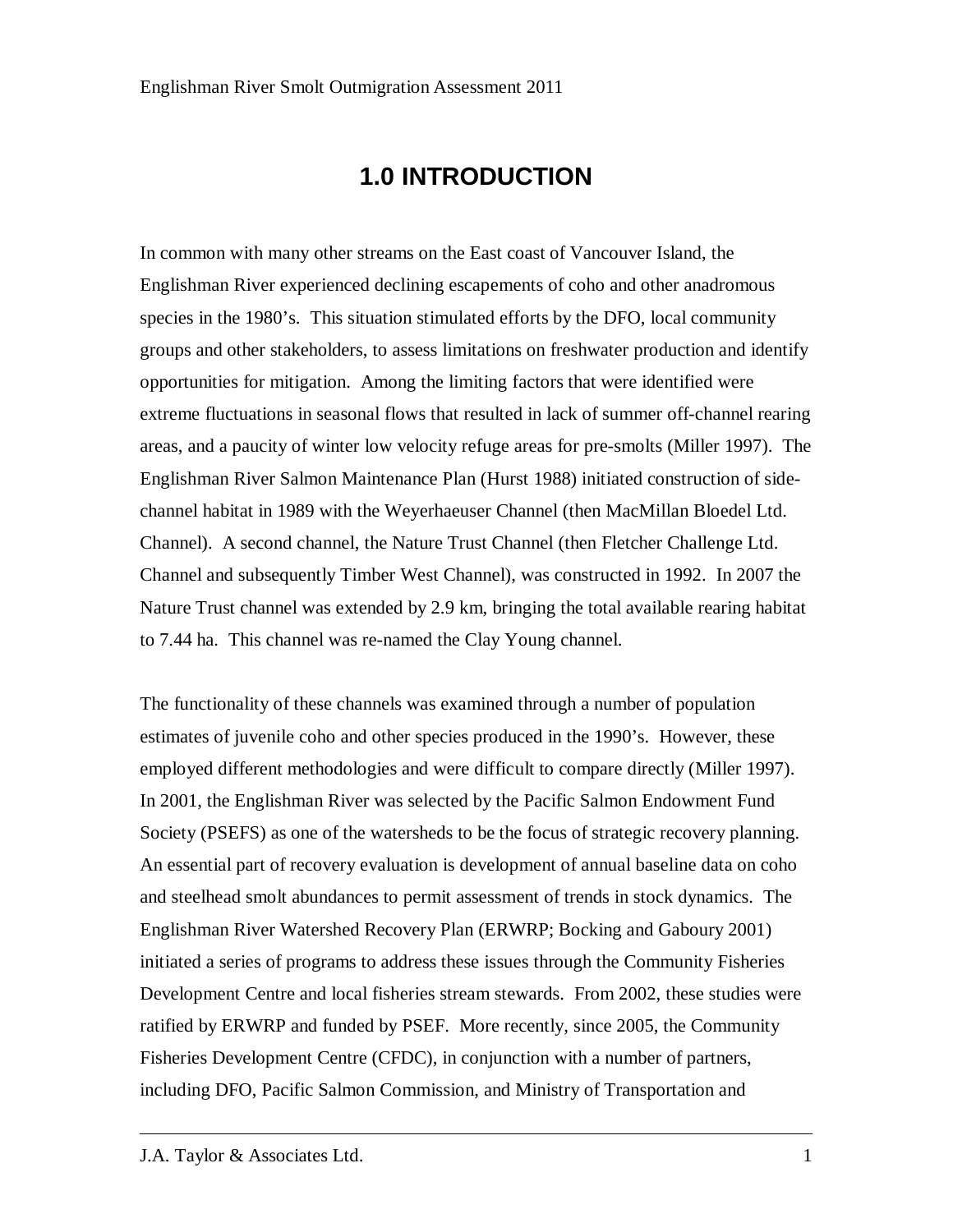# **1.0 INTRODUCTION**

In common with many other streams on the East coast of Vancouver Island, the Englishman River experienced declining escapements of coho and other anadromous species in the 1980's. This situation stimulated efforts by the DFO, local community groups and other stakeholders, to assess limitations on freshwater production and identify opportunities for mitigation. Among the limiting factors that were identified were extreme fluctuations in seasonal flows that resulted in lack of summer off-channel rearing areas, and a paucity of winter low velocity refuge areas for pre-smolts (Miller 1997). The Englishman River Salmon Maintenance Plan (Hurst 1988) initiated construction of sidechannel habitat in 1989 with the Weyerhaeuser Channel (then MacMillan Bloedel Ltd. Channel). A second channel, the Nature Trust Channel (then Fletcher Challenge Ltd. Channel and subsequently Timber West Channel), was constructed in 1992. In 2007 the Nature Trust channel was extended by 2.9 km, bringing the total available rearing habitat to 7.44 ha. This channel was re-named the Clay Young channel.

The functionality of these channels was examined through a number of population estimates of juvenile coho and other species produced in the 1990's. However, these employed different methodologies and were difficult to compare directly (Miller 1997). In 2001, the Englishman River was selected by the Pacific Salmon Endowment Fund Society (PSEFS) as one of the watersheds to be the focus of strategic recovery planning. An essential part of recovery evaluation is development of annual baseline data on coho and steelhead smolt abundances to permit assessment of trends in stock dynamics. The Englishman River Watershed Recovery Plan (ERWRP; Bocking and Gaboury 2001) initiated a series of programs to address these issues through the Community Fisheries Development Centre and local fisheries stream stewards. From 2002, these studies were ratified by ERWRP and funded by PSEF. More recently, since 2005, the Community Fisheries Development Centre (CFDC), in conjunction with a number of partners, including DFO, Pacific Salmon Commission, and Ministry of Transportation and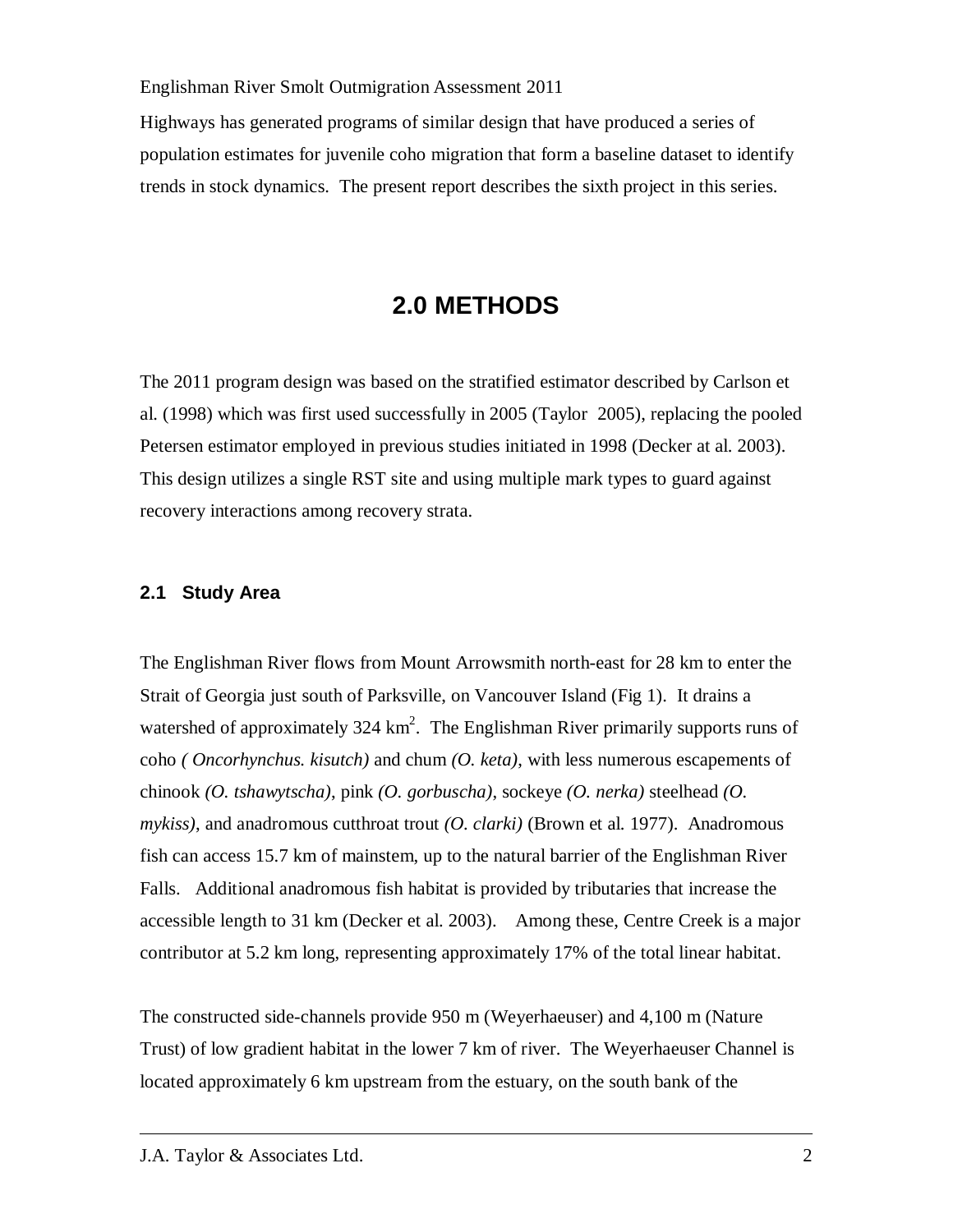Highways has generated programs of similar design that have produced a series of population estimates for juvenile coho migration that form a baseline dataset to identify trends in stock dynamics. The present report describes the sixth project in this series.

# **2.0 METHODS**

The 2011 program design was based on the stratified estimator described by Carlson et al. (1998) which was first used successfully in 2005 (Taylor 2005), replacing the pooled Petersen estimator employed in previous studies initiated in 1998 (Decker at al. 2003). This design utilizes a single RST site and using multiple mark types to guard against recovery interactions among recovery strata.

### **2.1 Study Area**

The Englishman River flows from Mount Arrowsmith north-east for 28 km to enter the Strait of Georgia just south of Parksville, on Vancouver Island (Fig 1). It drains a watershed of approximately  $324 \text{ km}^2$ . The Englishman River primarily supports runs of coho *( Oncorhynchus. kisutch)* and chum *(O. keta)*, with less numerous escapements of chinook *(O. tshawytscha)*, pink *(O. gorbuscha)*, sockeye *(O. nerka)* steelhead *(O. mykiss)*, and anadromous cutthroat trout *(O. clarki)* (Brown et al. 1977). Anadromous fish can access 15.7 km of mainstem, up to the natural barrier of the Englishman River Falls. Additional anadromous fish habitat is provided by tributaries that increase the accessible length to 31 km (Decker et al. 2003). Among these, Centre Creek is a major contributor at 5.2 km long, representing approximately 17% of the total linear habitat.

The constructed side-channels provide 950 m (Weyerhaeuser) and 4,100 m (Nature Trust) of low gradient habitat in the lower 7 km of river. The Weyerhaeuser Channel is located approximately 6 km upstream from the estuary, on the south bank of the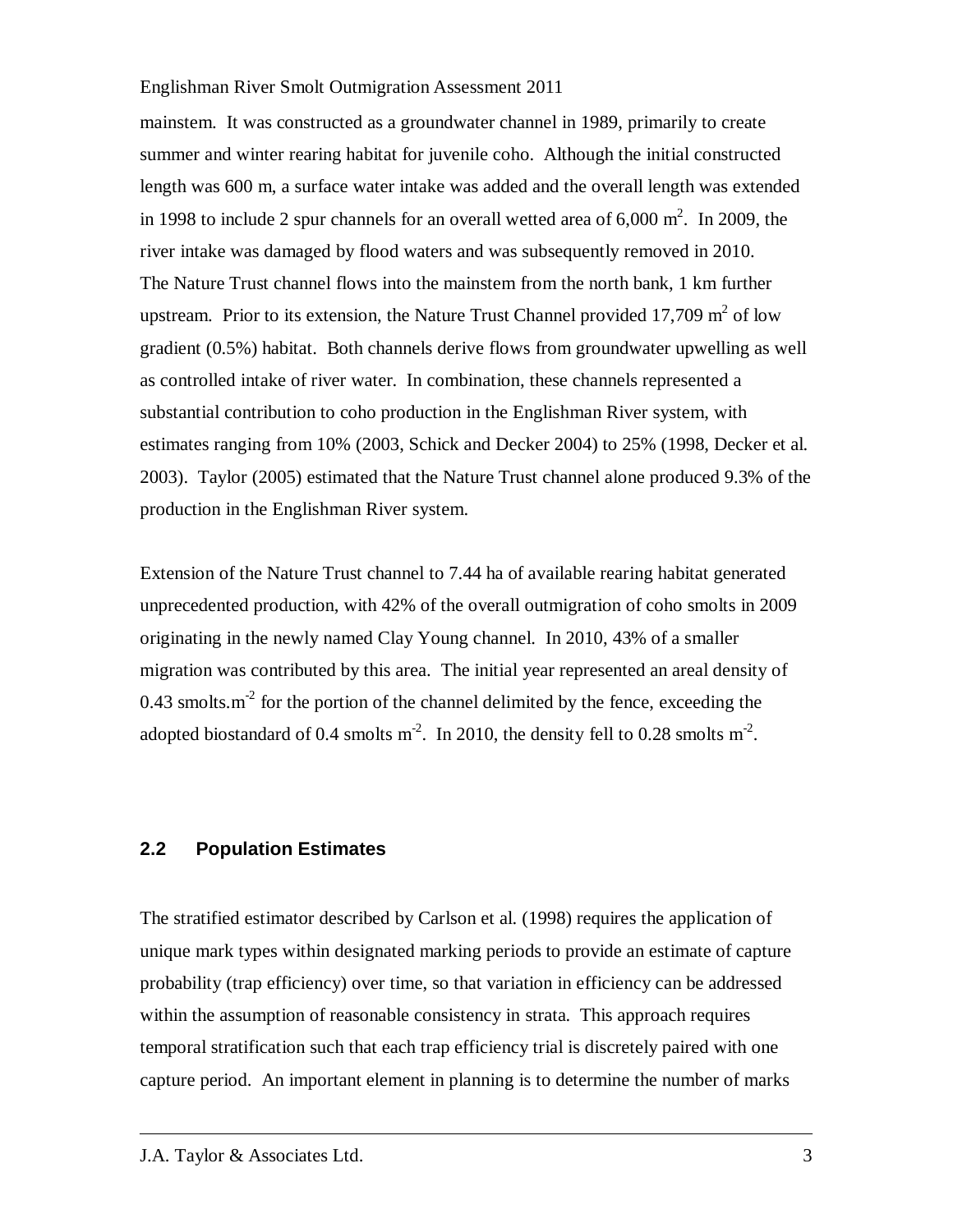mainstem. It was constructed as a groundwater channel in 1989, primarily to create summer and winter rearing habitat for juvenile coho. Although the initial constructed length was 600 m, a surface water intake was added and the overall length was extended in 1998 to include 2 spur channels for an overall wetted area of  $6,000 \text{ m}^2$ . In 2009, the river intake was damaged by flood waters and was subsequently removed in 2010. The Nature Trust channel flows into the mainstem from the north bank, 1 km further upstream. Prior to its extension, the Nature Trust Channel provided 17,709  $m^2$  of low gradient (0.5%) habitat. Both channels derive flows from groundwater upwelling as well as controlled intake of river water. In combination, these channels represented a substantial contribution to coho production in the Englishman River system, with estimates ranging from 10% (2003, Schick and Decker 2004) to 25% (1998, Decker et al. 2003). Taylor (2005) estimated that the Nature Trust channel alone produced 9.3% of the production in the Englishman River system.

Extension of the Nature Trust channel to 7.44 ha of available rearing habitat generated unprecedented production, with 42% of the overall outmigration of coho smolts in 2009 originating in the newly named Clay Young channel. In 2010, 43% of a smaller migration was contributed by this area. The initial year represented an areal density of 0.43 smolts. $m<sup>2</sup>$  for the portion of the channel delimited by the fence, exceeding the adopted biostandard of 0.4 smolts  $m^2$ . In 2010, the density fell to 0.28 smolts  $m^2$ .

### **2.2 Population Estimates**

The stratified estimator described by Carlson et al. (1998) requires the application of unique mark types within designated marking periods to provide an estimate of capture probability (trap efficiency) over time, so that variation in efficiency can be addressed within the assumption of reasonable consistency in strata. This approach requires temporal stratification such that each trap efficiency trial is discretely paired with one capture period. An important element in planning is to determine the number of marks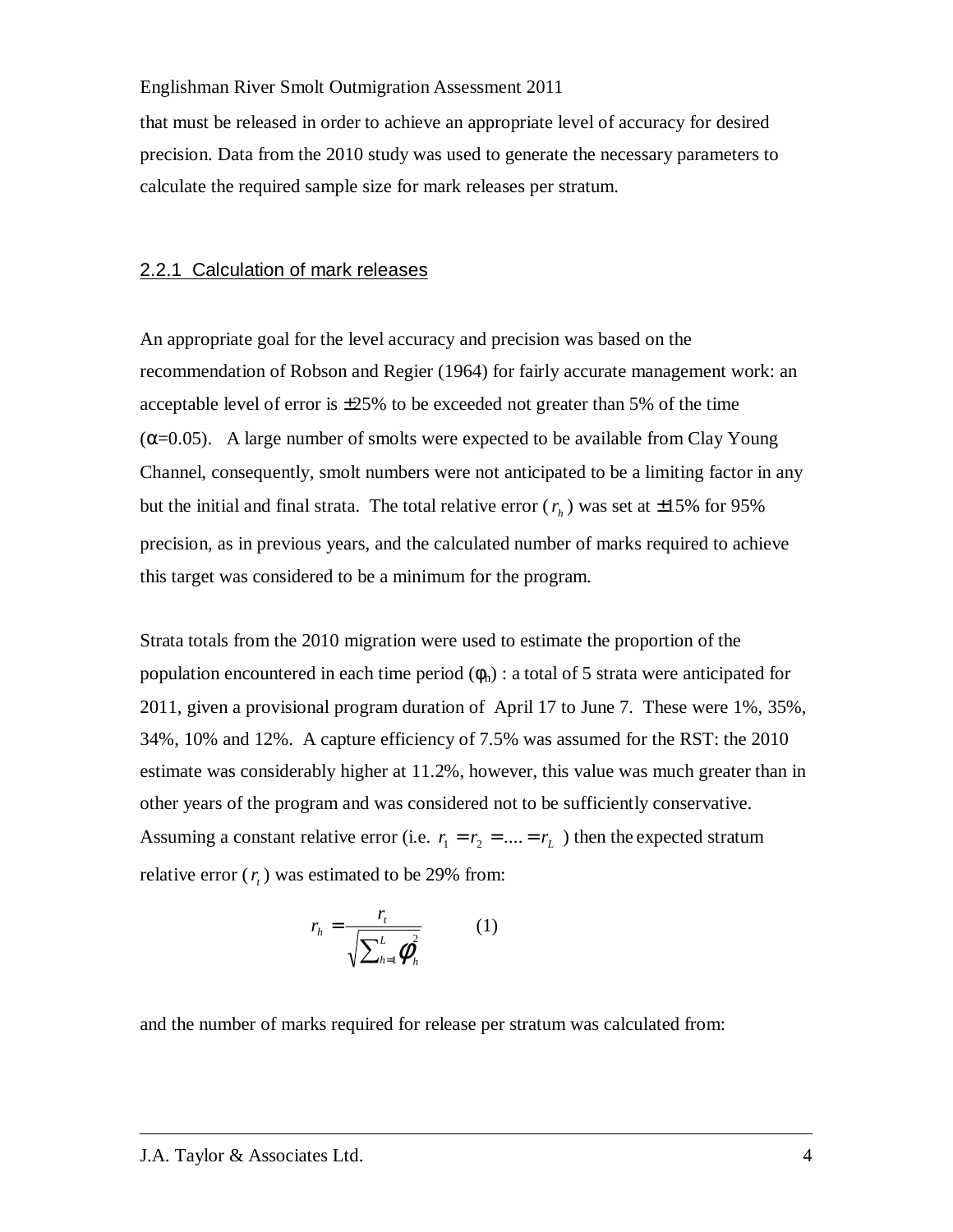that must be released in order to achieve an appropriate level of accuracy for desired precision. Data from the 2010 study was used to generate the necessary parameters to calculate the required sample size for mark releases per stratum.

### 2.2.1 Calculation of mark releases

An appropriate goal for the level accuracy and precision was based on the recommendation of Robson and Regier (1964) for fairly accurate management work: an acceptable level of error is  $\pm 25\%$  to be exceeded not greater than 5% of the time  $(\alpha=0.05)$ . A large number of smolts were expected to be available from Clay Young Channel, consequently, smolt numbers were not anticipated to be a limiting factor in any but the initial and final strata. The total relative error  $(r_h)$  was set at  $\pm 15\%$  for 95% precision, as in previous years, and the calculated number of marks required to achieve this target was considered to be a minimum for the program.

Strata totals from the 2010 migration were used to estimate the proportion of the population encountered in each time period  $(\phi_h)$  : a total of 5 strata were anticipated for 2011, given a provisional program duration of April 17 to June 7. These were 1%, 35%, 34%, 10% and 12%. A capture efficiency of 7.5% was assumed for the RST: the 2010 estimate was considerably higher at 11.2%, however, this value was much greater than in other years of the program and was considered not to be sufficiently conservative. Assuming a constant relative error (i.e.  $r_1 = r_2 = ... = r_L$ ) then the expected stratum relative error  $(r<sub>t</sub>)$  was estimated to be 29% from:

$$
r_h = \frac{r_t}{\sqrt{\sum_{h=1}^L \phi_h^2}} \qquad (1)
$$

and the number of marks required for release per stratum was calculated from: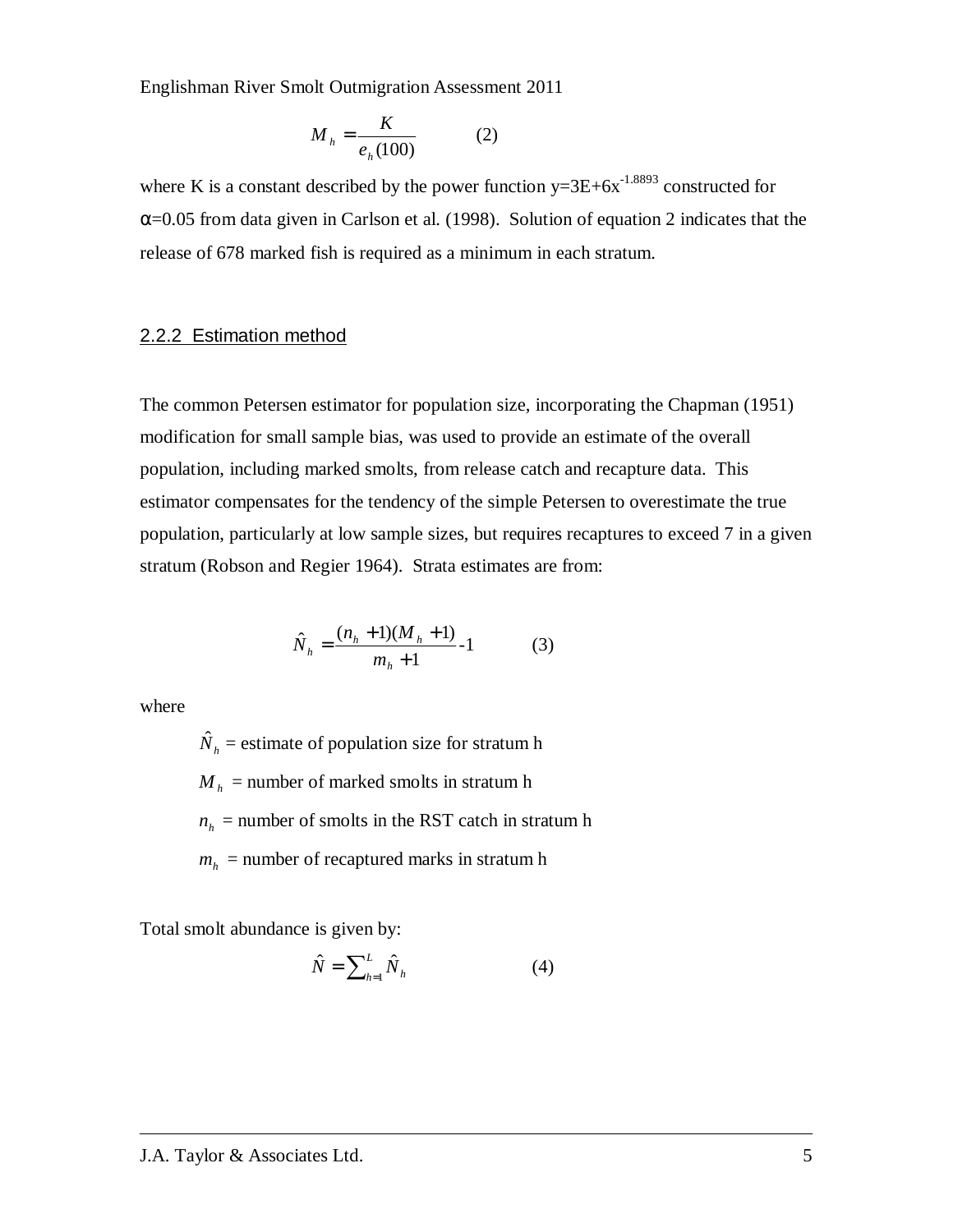$$
M_h = \frac{K}{e_h(100)}\tag{2}
$$

where K is a constant described by the power function  $y=3E+6x^{-1.8893}$  constructed for  $\alpha$ =0.05 from data given in Carlson et al. (1998). Solution of equation 2 indicates that the release of 678 marked fish is required as a minimum in each stratum.

### 2.2.2 Estimation method

The common Petersen estimator for population size, incorporating the Chapman (1951) modification for small sample bias, was used to provide an estimate of the overall population, including marked smolts, from release catch and recapture data. This estimator compensates for the tendency of the simple Petersen to overestimate the true population, particularly at low sample sizes, but requires recaptures to exceed 7 in a given stratum (Robson and Regier 1964). Strata estimates are from:

$$
\hat{N}_h = \frac{(n_h + 1)(M_h + 1)}{m_h + 1} - 1
$$
\n(3)

where

 $\hat{N}_h$  = estimate of population size for stratum h  $M_h$  = number of marked smolts in stratum h  $n_h$  = number of smolts in the RST catch in stratum h  $m_h$  = number of recaptured marks in stratum h

Total smolt abundance is given by:

$$
\hat{N} = \sum_{h=1}^{L} \hat{N}_h \tag{4}
$$

#### J.A. Taylor & Associates Ltd. 5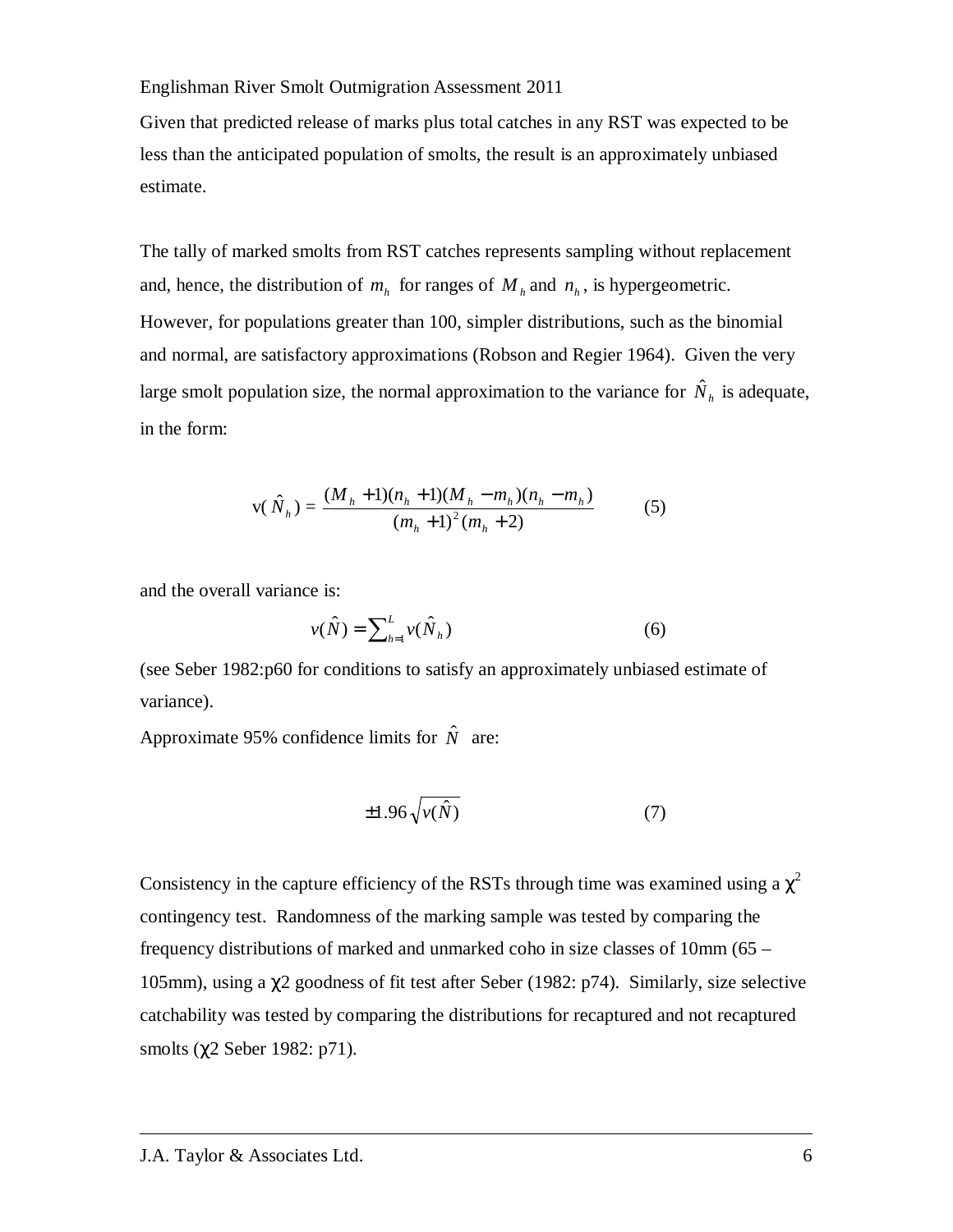Given that predicted release of marks plus total catches in any RST was expected to be less than the anticipated population of smolts, the result is an approximately unbiased estimate.

The tally of marked smolts from RST catches represents sampling without replacement and, hence, the distribution of  $m_h$  for ranges of  $M_h$  and  $n_h$ , is hypergeometric. However, for populations greater than 100, simpler distributions, such as the binomial and normal, are satisfactory approximations (Robson and Regier 1964). Given the very large smolt population size, the normal approximation to the variance for  $\hat{N}_h$  is adequate, in the form:

$$
v(\hat{N}_h) = \frac{(M_h + 1)(n_h + 1)(M_h - m_h)(n_h - m_h)}{(m_h + 1)^2 (m_h + 2)}
$$
(5)

and the overall variance is:

$$
v(\hat{N}) = \sum_{h=1}^{L} v(\hat{N}_h)
$$
\n(6)

(see Seber 1982:p60 for conditions to satisfy an approximately unbiased estimate of variance).

Approximate 95% confidence limits for  $\hat{N}$  are:

$$
\pm 1.96 \sqrt{\nu(\hat{N})} \tag{7}
$$

Consistency in the capture efficiency of the RSTs through time was examined using a  $\chi^2$ contingency test. Randomness of the marking sample was tested by comparing the frequency distributions of marked and unmarked coho in size classes of 10mm (65 – 105mm), using a χ2 goodness of fit test after Seber (1982: p74). Similarly, size selective catchability was tested by comparing the distributions for recaptured and not recaptured smolts (χ2 Seber 1982: p71).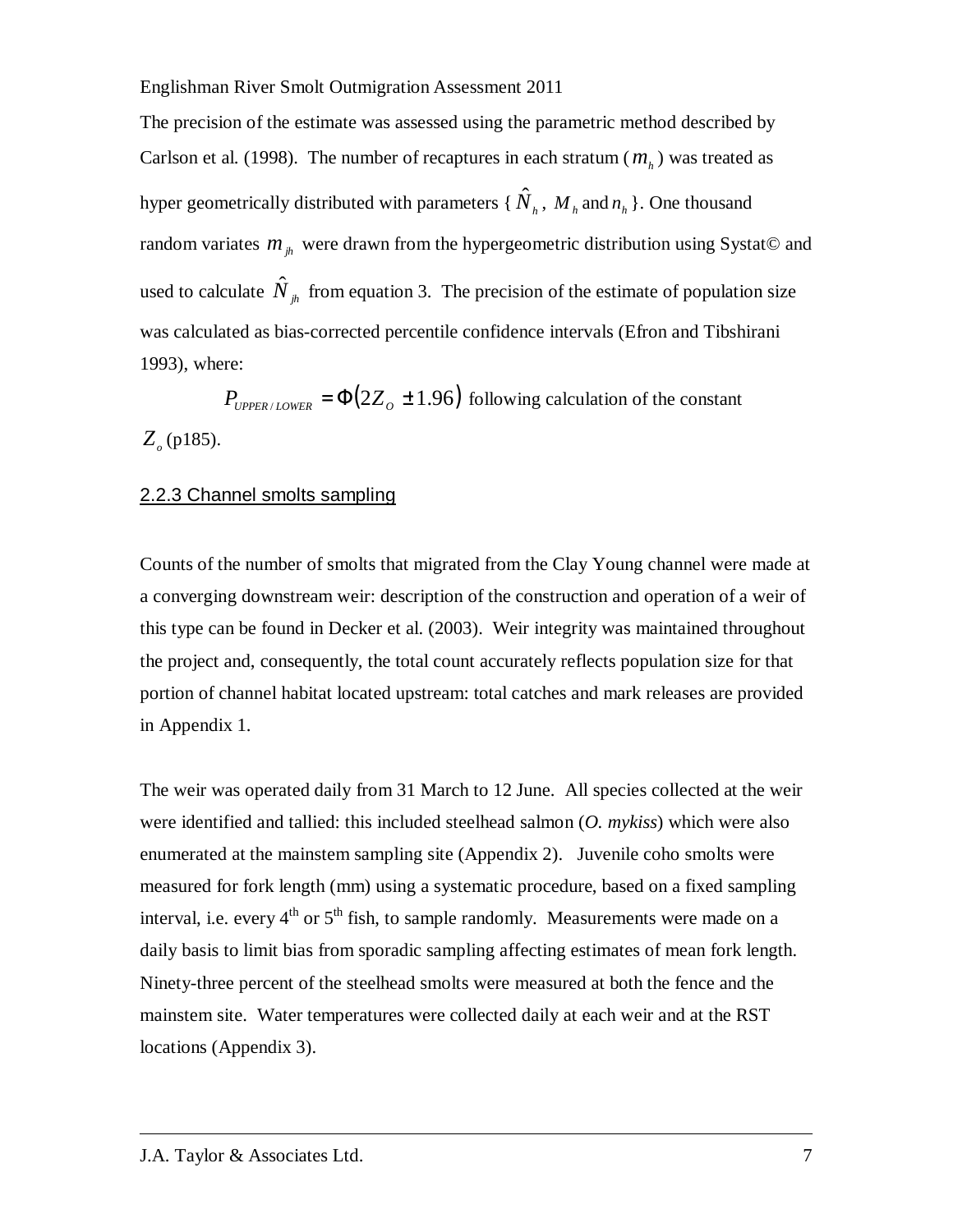The precision of the estimate was assessed using the parametric method described by Carlson et al. (1998). The number of recaptures in each stratum  $(m_h)$  was treated as hyper geometrically distributed with parameters { $\hat{N}_h$ ,  $M_h$  and  $n_h$ }. One thousand random variates  $m_{jk}$  were drawn from the hypergeometric distribution using Systat© and used to calculate  $\hat{N}_{jk}$  from equation 3. The precision of the estimate of population size was calculated as bias-corrected percentile confidence intervals (Efron and Tibshirani 1993), where:

 $P_{\text{UPPER/LOWER}} = \Phi(2Z_o \pm 1.96)$  following calculation of the constant *Zo* (p185).

#### 2.2.3 Channel smolts sampling

Counts of the number of smolts that migrated from the Clay Young channel were made at a converging downstream weir: description of the construction and operation of a weir of this type can be found in Decker et al. (2003). Weir integrity was maintained throughout the project and, consequently, the total count accurately reflects population size for that portion of channel habitat located upstream: total catches and mark releases are provided in Appendix 1.

The weir was operated daily from 31 March to 12 June. All species collected at the weir were identified and tallied: this included steelhead salmon (*O. mykiss*) which were also enumerated at the mainstem sampling site (Appendix 2). Juvenile coho smolts were measured for fork length (mm) using a systematic procedure, based on a fixed sampling interval, i.e. every  $4<sup>th</sup>$  or  $5<sup>th</sup>$  fish, to sample randomly. Measurements were made on a daily basis to limit bias from sporadic sampling affecting estimates of mean fork length. Ninety-three percent of the steelhead smolts were measured at both the fence and the mainstem site. Water temperatures were collected daily at each weir and at the RST locations (Appendix 3).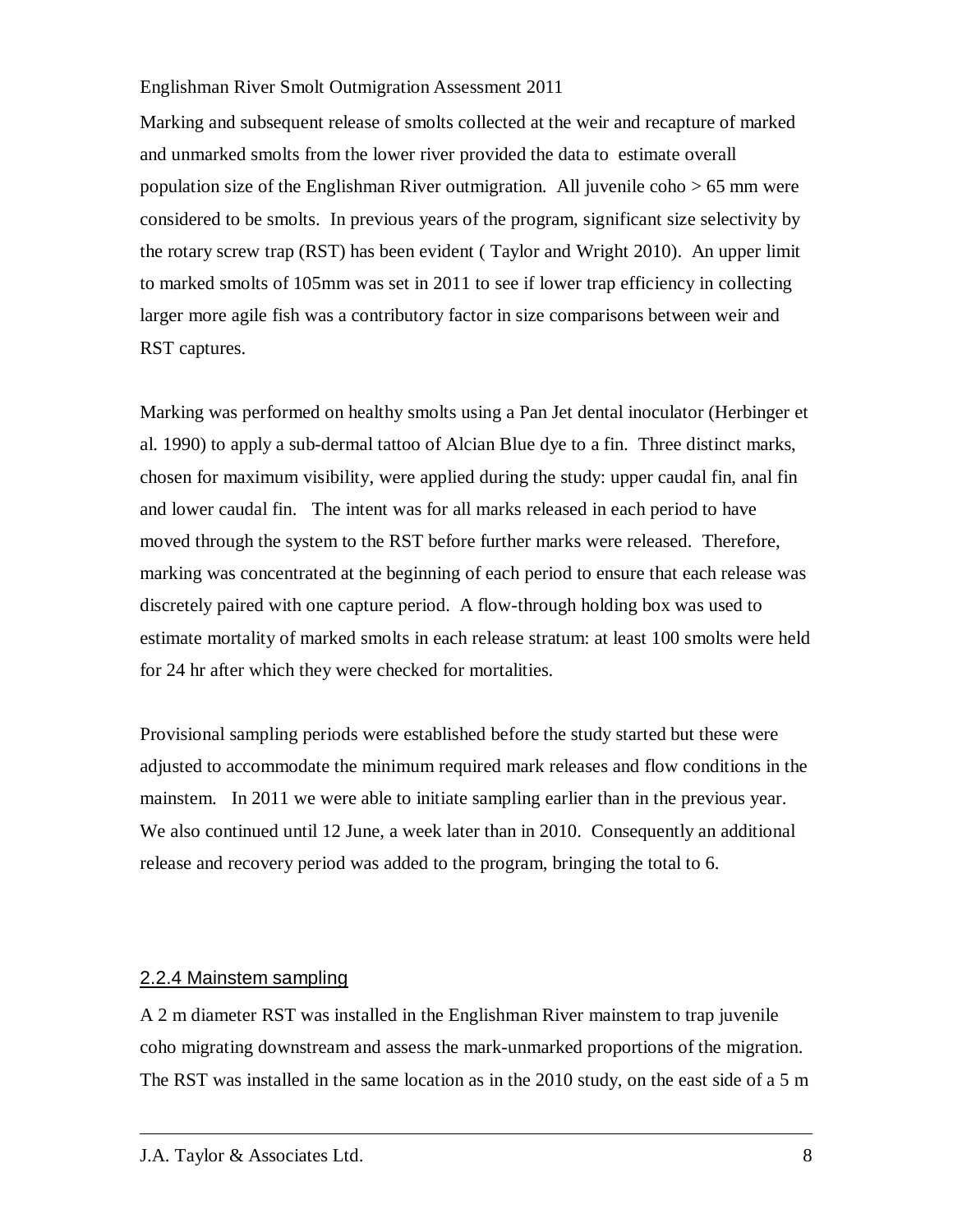Marking and subsequent release of smolts collected at the weir and recapture of marked and unmarked smolts from the lower river provided the data to estimate overall population size of the Englishman River outmigration. All juvenile coho > 65 mm were considered to be smolts. In previous years of the program, significant size selectivity by the rotary screw trap (RST) has been evident ( Taylor and Wright 2010). An upper limit to marked smolts of 105mm was set in 2011 to see if lower trap efficiency in collecting larger more agile fish was a contributory factor in size comparisons between weir and RST captures.

Marking was performed on healthy smolts using a Pan Jet dental inoculator (Herbinger et al. 1990) to apply a sub-dermal tattoo of Alcian Blue dye to a fin. Three distinct marks, chosen for maximum visibility, were applied during the study: upper caudal fin, anal fin and lower caudal fin. The intent was for all marks released in each period to have moved through the system to the RST before further marks were released. Therefore, marking was concentrated at the beginning of each period to ensure that each release was discretely paired with one capture period. A flow-through holding box was used to estimate mortality of marked smolts in each release stratum: at least 100 smolts were held for 24 hr after which they were checked for mortalities.

Provisional sampling periods were established before the study started but these were adjusted to accommodate the minimum required mark releases and flow conditions in the mainstem. In 2011 we were able to initiate sampling earlier than in the previous year. We also continued until 12 June, a week later than in 2010. Consequently an additional release and recovery period was added to the program, bringing the total to 6.

### 2.2.4 Mainstem sampling

A 2 m diameter RST was installed in the Englishman River mainstem to trap juvenile coho migrating downstream and assess the mark-unmarked proportions of the migration. The RST was installed in the same location as in the 2010 study, on the east side of a 5 m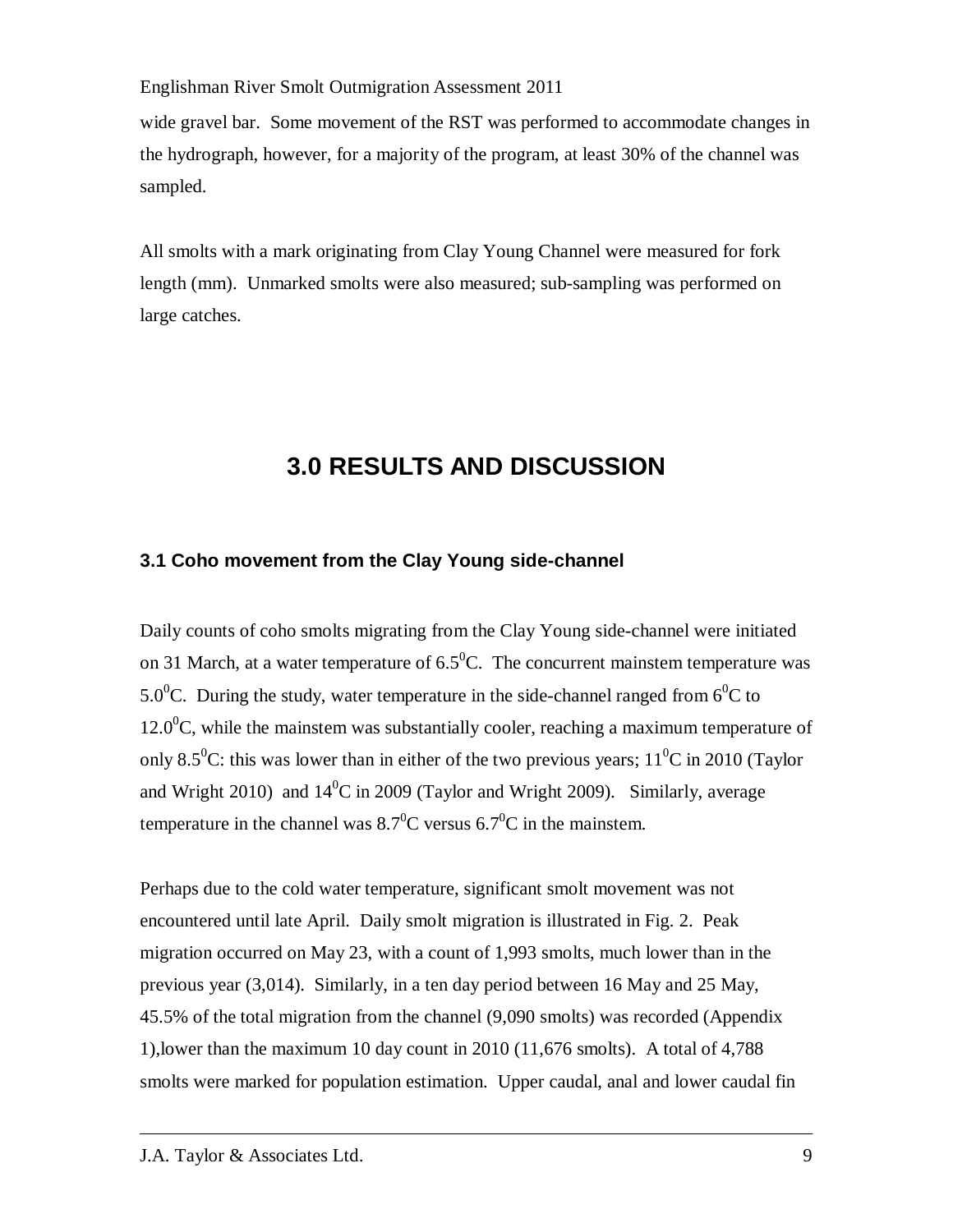wide gravel bar. Some movement of the RST was performed to accommodate changes in the hydrograph, however, for a majority of the program, at least 30% of the channel was sampled.

All smolts with a mark originating from Clay Young Channel were measured for fork length (mm). Unmarked smolts were also measured; sub-sampling was performed on large catches.

# **3.0 RESULTS AND DISCUSSION**

### **3.1 Coho movement from the Clay Young side-channel**

Daily counts of coho smolts migrating from the Clay Young side-channel were initiated on 31 March, at a water temperature of  $6.5^{\circ}$ C. The concurrent mainstem temperature was 5.0<sup>o</sup>C. During the study, water temperature in the side-channel ranged from 6<sup>o</sup>C to  $12.0^{\circ}$ C, while the mainstem was substantially cooler, reaching a maximum temperature of only 8.5<sup>0</sup>C: this was lower than in either of the two previous years;  $11^{0}$ C in 2010 (Taylor and Wright 2010) and  $14^{\circ}$ C in 2009 (Taylor and Wright 2009). Similarly, average temperature in the channel was  $8.7^{\circ}$ C versus 6.7<sup>o</sup>C in the mainstem.

Perhaps due to the cold water temperature, significant smolt movement was not encountered until late April. Daily smolt migration is illustrated in Fig. 2. Peak migration occurred on May 23, with a count of 1,993 smolts, much lower than in the previous year (3,014). Similarly, in a ten day period between 16 May and 25 May, 45.5% of the total migration from the channel (9,090 smolts) was recorded (Appendix 1),lower than the maximum 10 day count in 2010 (11,676 smolts). A total of 4,788 smolts were marked for population estimation. Upper caudal, anal and lower caudal fin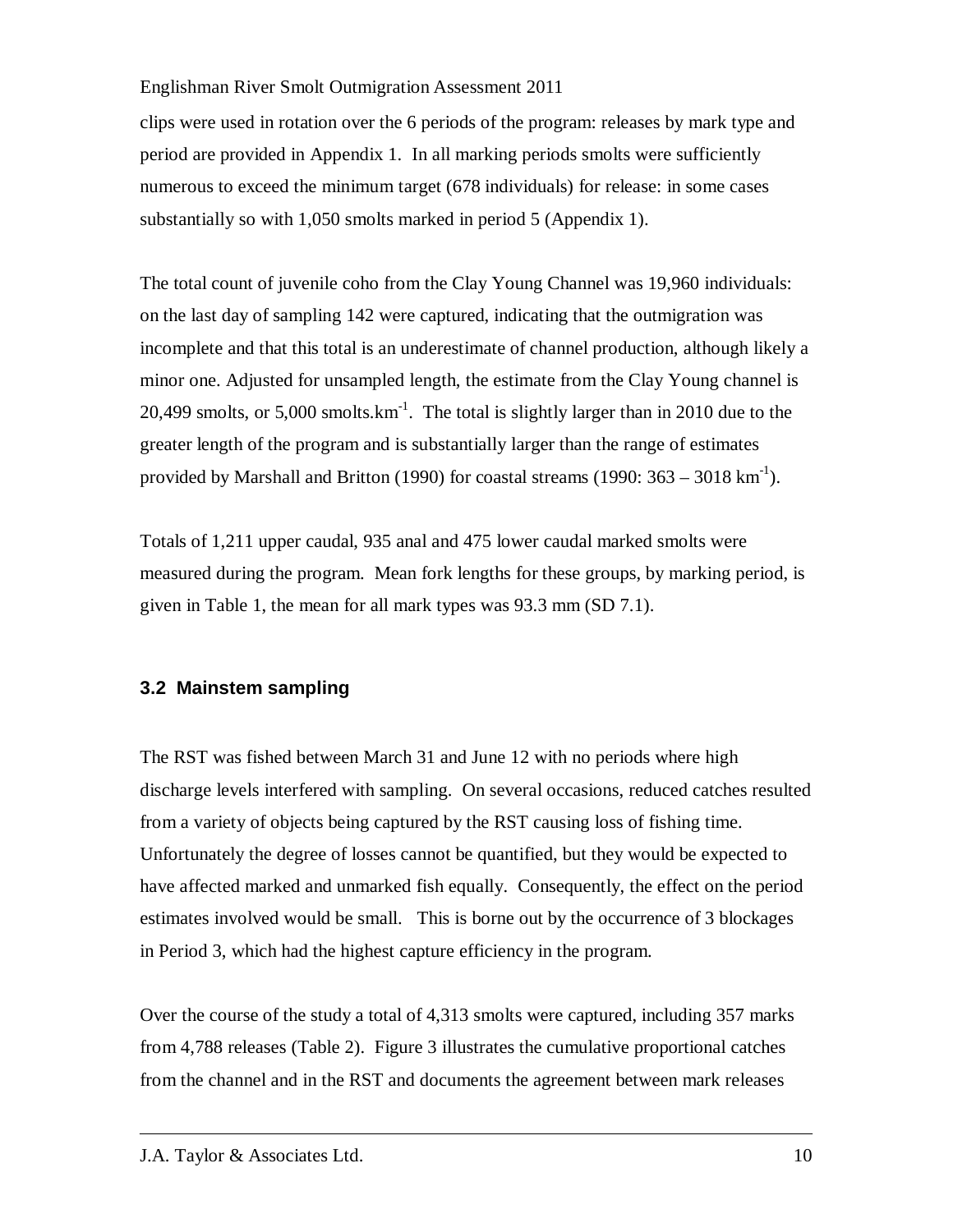clips were used in rotation over the 6 periods of the program: releases by mark type and period are provided in Appendix 1. In all marking periods smolts were sufficiently numerous to exceed the minimum target (678 individuals) for release: in some cases substantially so with 1,050 smolts marked in period 5 (Appendix 1).

The total count of juvenile coho from the Clay Young Channel was 19,960 individuals: on the last day of sampling 142 were captured, indicating that the outmigration was incomplete and that this total is an underestimate of channel production, although likely a minor one. Adjusted for unsampled length, the estimate from the Clay Young channel is 20,499 smolts, or  $5,000$  smolts.km<sup>-1</sup>. The total is slightly larger than in 2010 due to the greater length of the program and is substantially larger than the range of estimates provided by Marshall and Britton (1990) for coastal streams (1990:  $363 - 3018 \text{ km}^{-1}$ ).

Totals of 1,211 upper caudal, 935 anal and 475 lower caudal marked smolts were measured during the program. Mean fork lengths for these groups, by marking period, is given in Table 1, the mean for all mark types was 93.3 mm (SD 7.1).

### **3.2 Mainstem sampling**

The RST was fished between March 31 and June 12 with no periods where high discharge levels interfered with sampling. On several occasions, reduced catches resulted from a variety of objects being captured by the RST causing loss of fishing time. Unfortunately the degree of losses cannot be quantified, but they would be expected to have affected marked and unmarked fish equally. Consequently, the effect on the period estimates involved would be small. This is borne out by the occurrence of 3 blockages in Period 3, which had the highest capture efficiency in the program.

Over the course of the study a total of 4,313 smolts were captured, including 357 marks from 4,788 releases (Table 2). Figure 3 illustrates the cumulative proportional catches from the channel and in the RST and documents the agreement between mark releases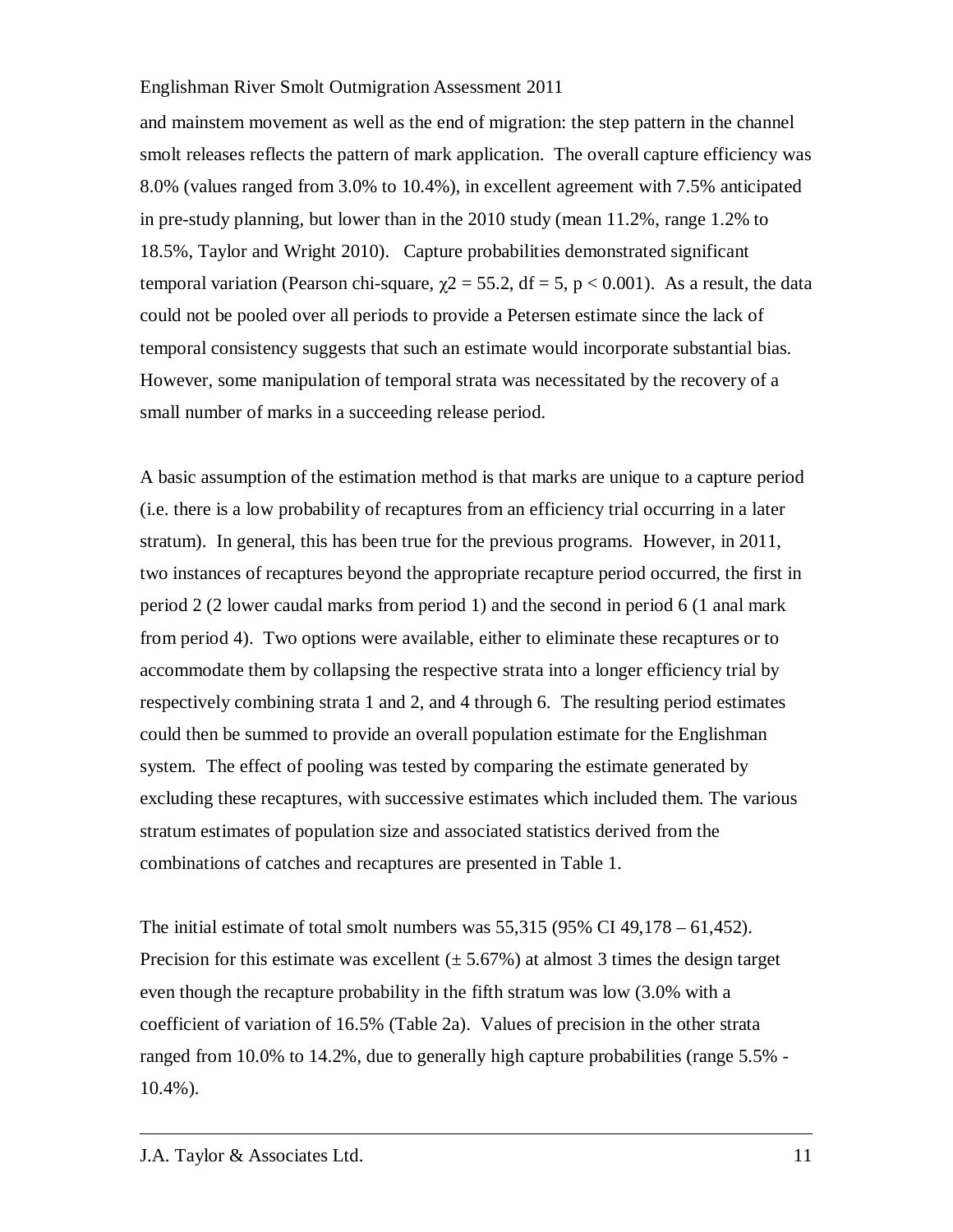and mainstem movement as well as the end of migration: the step pattern in the channel smolt releases reflects the pattern of mark application. The overall capture efficiency was 8.0% (values ranged from 3.0% to 10.4%), in excellent agreement with 7.5% anticipated in pre-study planning, but lower than in the 2010 study (mean 11.2%, range 1.2% to 18.5%, Taylor and Wright 2010). Capture probabilities demonstrated significant temporal variation (Pearson chi-square,  $\gamma$ 2 = 55.2, df = 5, p < 0.001). As a result, the data could not be pooled over all periods to provide a Petersen estimate since the lack of temporal consistency suggests that such an estimate would incorporate substantial bias. However, some manipulation of temporal strata was necessitated by the recovery of a small number of marks in a succeeding release period.

A basic assumption of the estimation method is that marks are unique to a capture period (i.e. there is a low probability of recaptures from an efficiency trial occurring in a later stratum). In general, this has been true for the previous programs. However, in 2011, two instances of recaptures beyond the appropriate recapture period occurred, the first in period 2 (2 lower caudal marks from period 1) and the second in period 6 (1 anal mark from period 4). Two options were available, either to eliminate these recaptures or to accommodate them by collapsing the respective strata into a longer efficiency trial by respectively combining strata 1 and 2, and 4 through 6. The resulting period estimates could then be summed to provide an overall population estimate for the Englishman system. The effect of pooling was tested by comparing the estimate generated by excluding these recaptures, with successive estimates which included them. The various stratum estimates of population size and associated statistics derived from the combinations of catches and recaptures are presented in Table 1.

The initial estimate of total smolt numbers was  $55,315$  (95% CI 49,178 – 61,452). Precision for this estimate was excellent  $(\pm 5.67\%)$  at almost 3 times the design target even though the recapture probability in the fifth stratum was low (3.0% with a coefficient of variation of 16.5% (Table 2a). Values of precision in the other strata ranged from 10.0% to 14.2%, due to generally high capture probabilities (range 5.5% - 10.4%).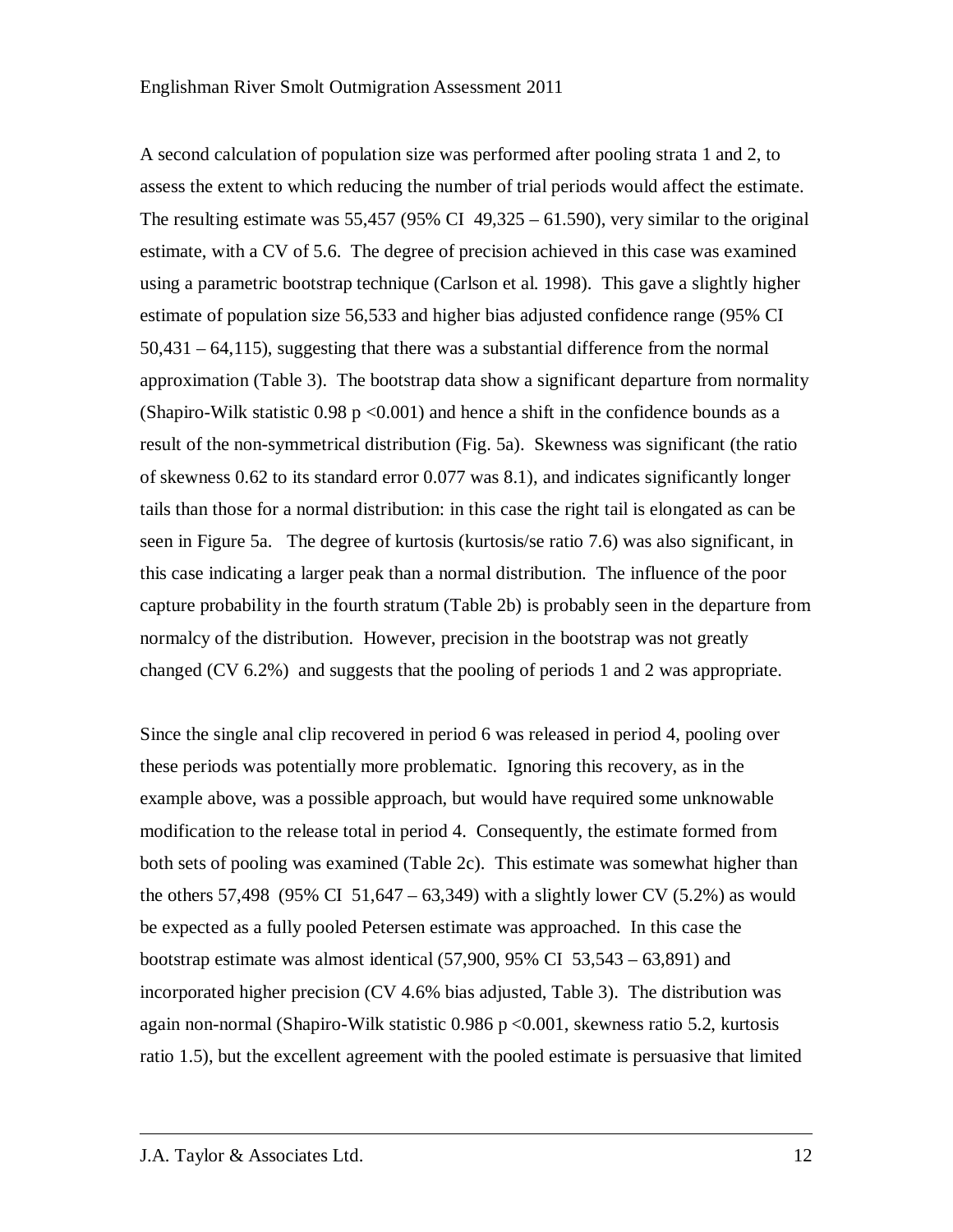A second calculation of population size was performed after pooling strata 1 and 2, to assess the extent to which reducing the number of trial periods would affect the estimate. The resulting estimate was  $55,457$  (95% CI 49,325 – 61.590), very similar to the original estimate, with a CV of 5.6. The degree of precision achieved in this case was examined using a parametric bootstrap technique (Carlson et al. 1998). This gave a slightly higher estimate of population size 56,533 and higher bias adjusted confidence range (95% CI 50,431 – 64,115), suggesting that there was a substantial difference from the normal approximation (Table 3). The bootstrap data show a significant departure from normality (Shapiro-Wilk statistic  $0.98 \text{ p} < 0.001$ ) and hence a shift in the confidence bounds as a result of the non-symmetrical distribution (Fig. 5a). Skewness was significant (the ratio of skewness 0.62 to its standard error 0.077 was 8.1), and indicates significantly longer tails than those for a normal distribution: in this case the right tail is elongated as can be seen in Figure 5a. The degree of kurtosis (kurtosis/se ratio 7.6) was also significant, in this case indicating a larger peak than a normal distribution. The influence of the poor capture probability in the fourth stratum (Table 2b) is probably seen in the departure from normalcy of the distribution. However, precision in the bootstrap was not greatly changed (CV 6.2%) and suggests that the pooling of periods 1 and 2 was appropriate.

Since the single anal clip recovered in period 6 was released in period 4, pooling over these periods was potentially more problematic. Ignoring this recovery, as in the example above, was a possible approach, but would have required some unknowable modification to the release total in period 4. Consequently, the estimate formed from both sets of pooling was examined (Table 2c). This estimate was somewhat higher than the others 57,498 (95% CI 51,647 – 63,349) with a slightly lower CV (5.2%) as would be expected as a fully pooled Petersen estimate was approached. In this case the bootstrap estimate was almost identical  $(57,900, 95\% \text{ CI } 53,543 - 63,891)$  and incorporated higher precision (CV 4.6% bias adjusted, Table 3). The distribution was again non-normal (Shapiro-Wilk statistic 0.986 p <0.001, skewness ratio 5.2, kurtosis ratio 1.5), but the excellent agreement with the pooled estimate is persuasive that limited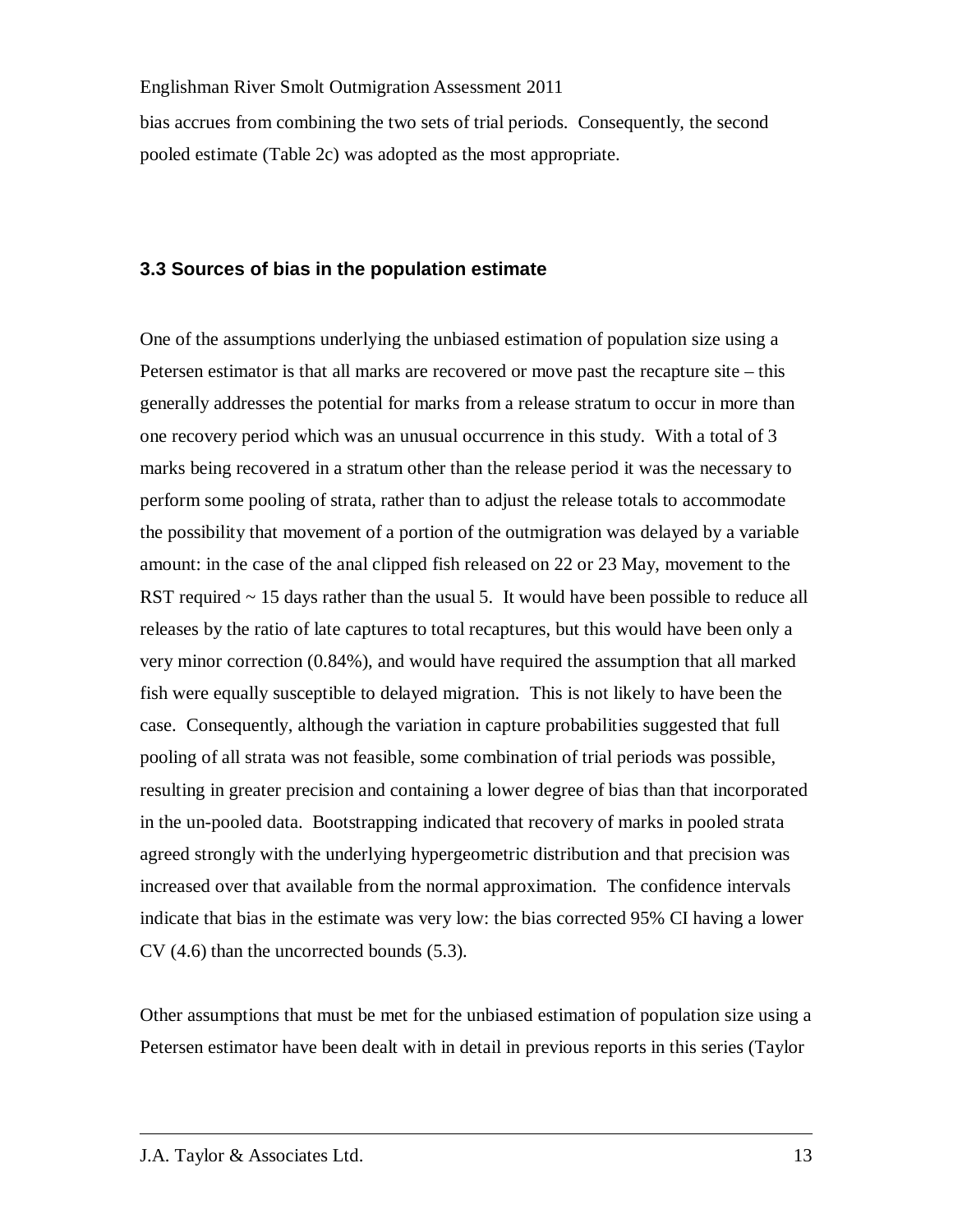bias accrues from combining the two sets of trial periods. Consequently, the second pooled estimate (Table 2c) was adopted as the most appropriate.

### **3.3 Sources of bias in the population estimate**

One of the assumptions underlying the unbiased estimation of population size using a Petersen estimator is that all marks are recovered or move past the recapture site – this generally addresses the potential for marks from a release stratum to occur in more than one recovery period which was an unusual occurrence in this study. With a total of 3 marks being recovered in a stratum other than the release period it was the necessary to perform some pooling of strata, rather than to adjust the release totals to accommodate the possibility that movement of a portion of the outmigration was delayed by a variable amount: in the case of the anal clipped fish released on 22 or 23 May, movement to the RST required  $\sim$  15 days rather than the usual 5. It would have been possible to reduce all releases by the ratio of late captures to total recaptures, but this would have been only a very minor correction (0.84%), and would have required the assumption that all marked fish were equally susceptible to delayed migration. This is not likely to have been the case. Consequently, although the variation in capture probabilities suggested that full pooling of all strata was not feasible, some combination of trial periods was possible, resulting in greater precision and containing a lower degree of bias than that incorporated in the un-pooled data. Bootstrapping indicated that recovery of marks in pooled strata agreed strongly with the underlying hypergeometric distribution and that precision was increased over that available from the normal approximation. The confidence intervals indicate that bias in the estimate was very low: the bias corrected 95% CI having a lower CV (4.6) than the uncorrected bounds (5.3).

Other assumptions that must be met for the unbiased estimation of population size using a Petersen estimator have been dealt with in detail in previous reports in this series (Taylor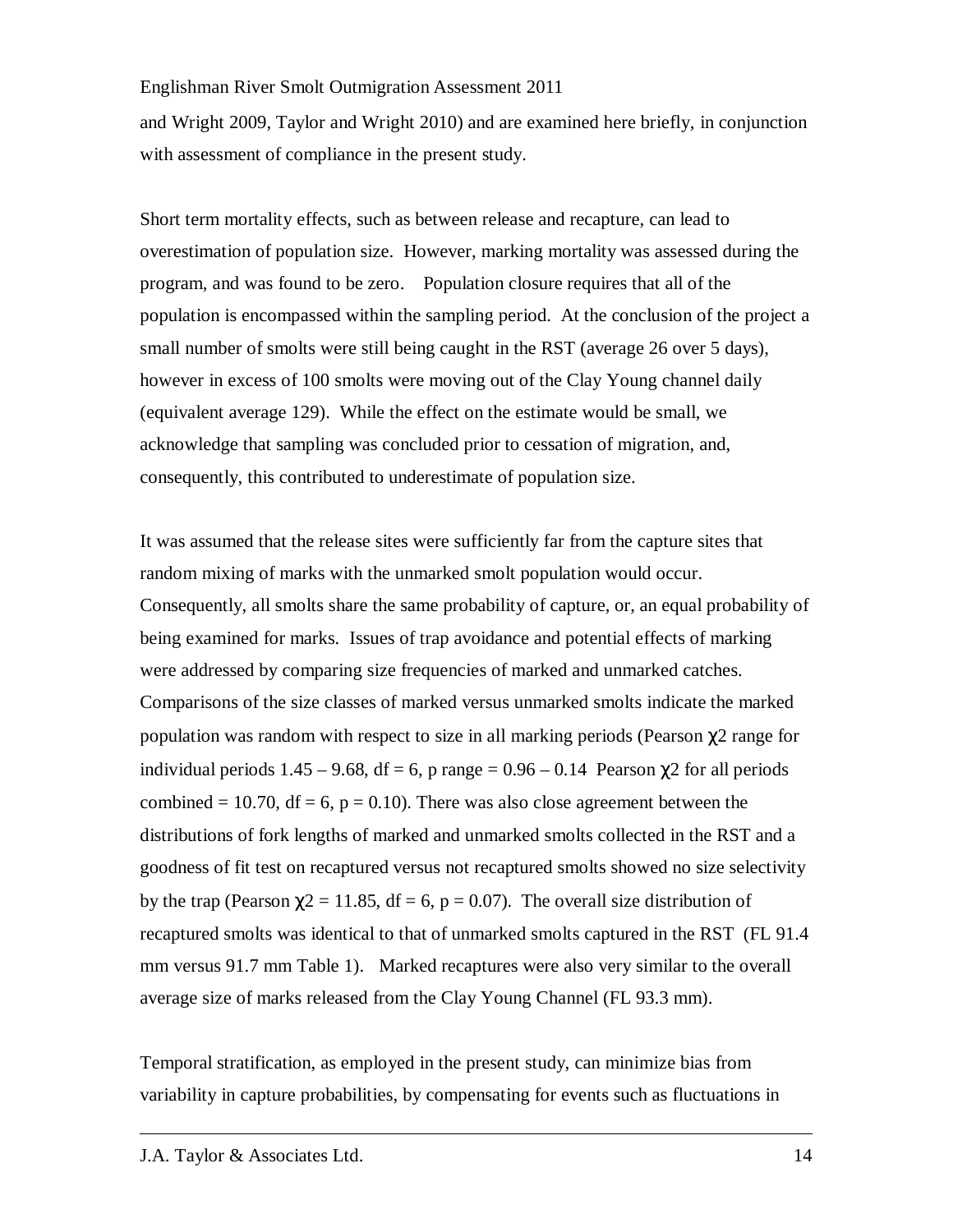and Wright 2009, Taylor and Wright 2010) and are examined here briefly, in conjunction with assessment of compliance in the present study.

Short term mortality effects, such as between release and recapture, can lead to overestimation of population size. However, marking mortality was assessed during the program, and was found to be zero. Population closure requires that all of the population is encompassed within the sampling period. At the conclusion of the project a small number of smolts were still being caught in the RST (average 26 over 5 days), however in excess of 100 smolts were moving out of the Clay Young channel daily (equivalent average 129). While the effect on the estimate would be small, we acknowledge that sampling was concluded prior to cessation of migration, and, consequently, this contributed to underestimate of population size.

It was assumed that the release sites were sufficiently far from the capture sites that random mixing of marks with the unmarked smolt population would occur. Consequently, all smolts share the same probability of capture, or, an equal probability of being examined for marks. Issues of trap avoidance and potential effects of marking were addressed by comparing size frequencies of marked and unmarked catches. Comparisons of the size classes of marked versus unmarked smolts indicate the marked population was random with respect to size in all marking periods (Pearson  $\chi$ 2 range for individual periods  $1.45 - 9.68$ , df = 6, p range =  $0.96 - 0.14$  Pearson  $\chi$ 2 for all periods combined = 10.70, df = 6,  $p = 0.10$ ). There was also close agreement between the distributions of fork lengths of marked and unmarked smolts collected in the RST and a goodness of fit test on recaptured versus not recaptured smolts showed no size selectivity by the trap (Pearson  $\chi$ 2 = 11.85, df = 6, p = 0.07). The overall size distribution of recaptured smolts was identical to that of unmarked smolts captured in the RST (FL 91.4 mm versus 91.7 mm Table 1). Marked recaptures were also very similar to the overall average size of marks released from the Clay Young Channel (FL 93.3 mm).

Temporal stratification, as employed in the present study, can minimize bias from variability in capture probabilities, by compensating for events such as fluctuations in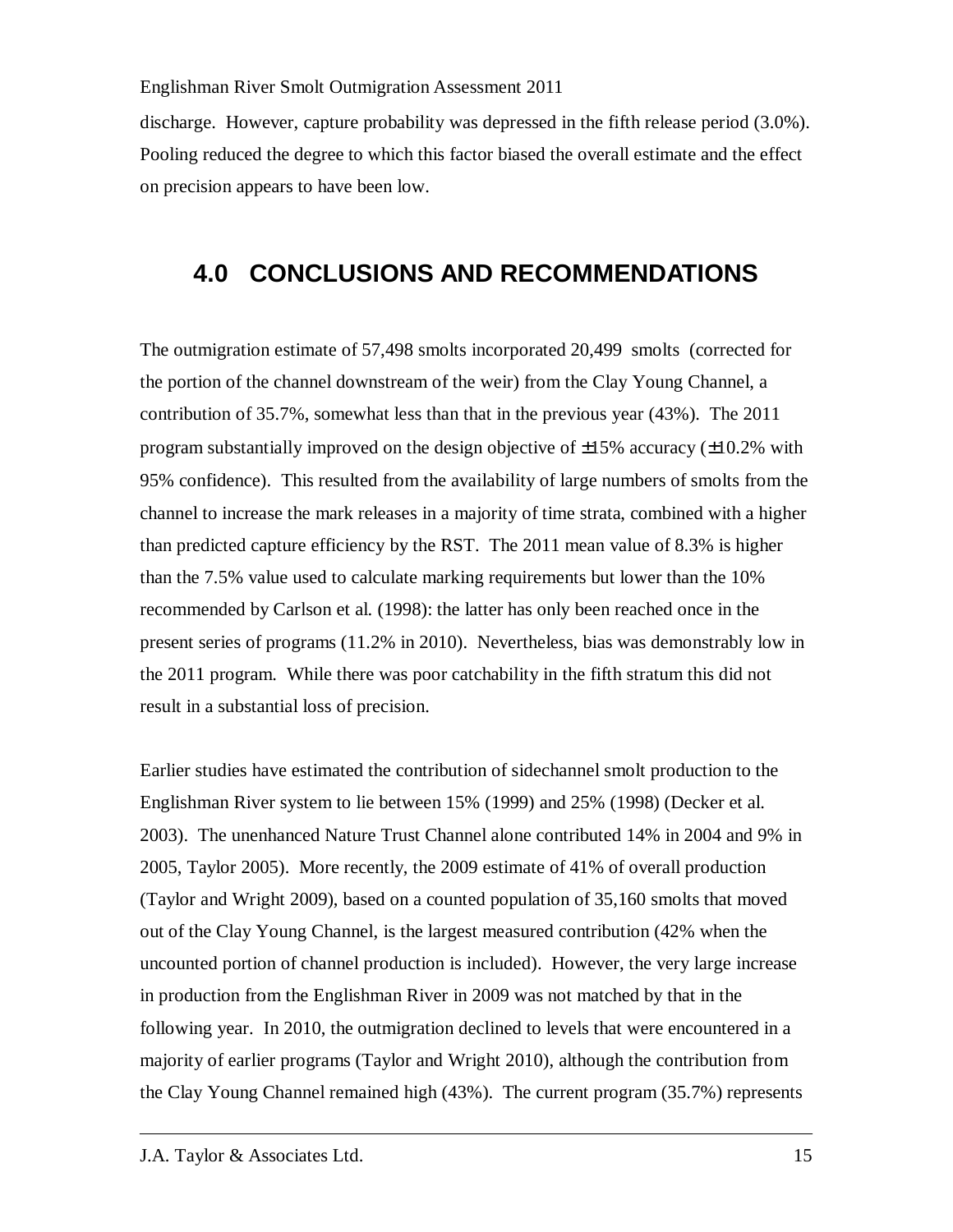discharge. However, capture probability was depressed in the fifth release period (3.0%). Pooling reduced the degree to which this factor biased the overall estimate and the effect on precision appears to have been low.

# **4.0 CONCLUSIONS AND RECOMMENDATIONS**

The outmigration estimate of 57,498 smolts incorporated 20,499 smolts (corrected for the portion of the channel downstream of the weir) from the Clay Young Channel, a contribution of 35.7%, somewhat less than that in the previous year (43%). The 2011 program substantially improved on the design objective of  $\pm 15\%$  accuracy ( $\pm 10.2\%$  with 95% confidence). This resulted from the availability of large numbers of smolts from the channel to increase the mark releases in a majority of time strata, combined with a higher than predicted capture efficiency by the RST. The 2011 mean value of 8.3% is higher than the 7.5% value used to calculate marking requirements but lower than the 10% recommended by Carlson et al. (1998): the latter has only been reached once in the present series of programs (11.2% in 2010). Nevertheless, bias was demonstrably low in the 2011 program. While there was poor catchability in the fifth stratum this did not result in a substantial loss of precision.

Earlier studies have estimated the contribution of sidechannel smolt production to the Englishman River system to lie between 15% (1999) and 25% (1998) (Decker et al. 2003). The unenhanced Nature Trust Channel alone contributed 14% in 2004 and 9% in 2005, Taylor 2005). More recently, the 2009 estimate of 41% of overall production (Taylor and Wright 2009), based on a counted population of 35,160 smolts that moved out of the Clay Young Channel, is the largest measured contribution (42% when the uncounted portion of channel production is included). However, the very large increase in production from the Englishman River in 2009 was not matched by that in the following year. In 2010, the outmigration declined to levels that were encountered in a majority of earlier programs (Taylor and Wright 2010), although the contribution from the Clay Young Channel remained high (43%). The current program (35.7%) represents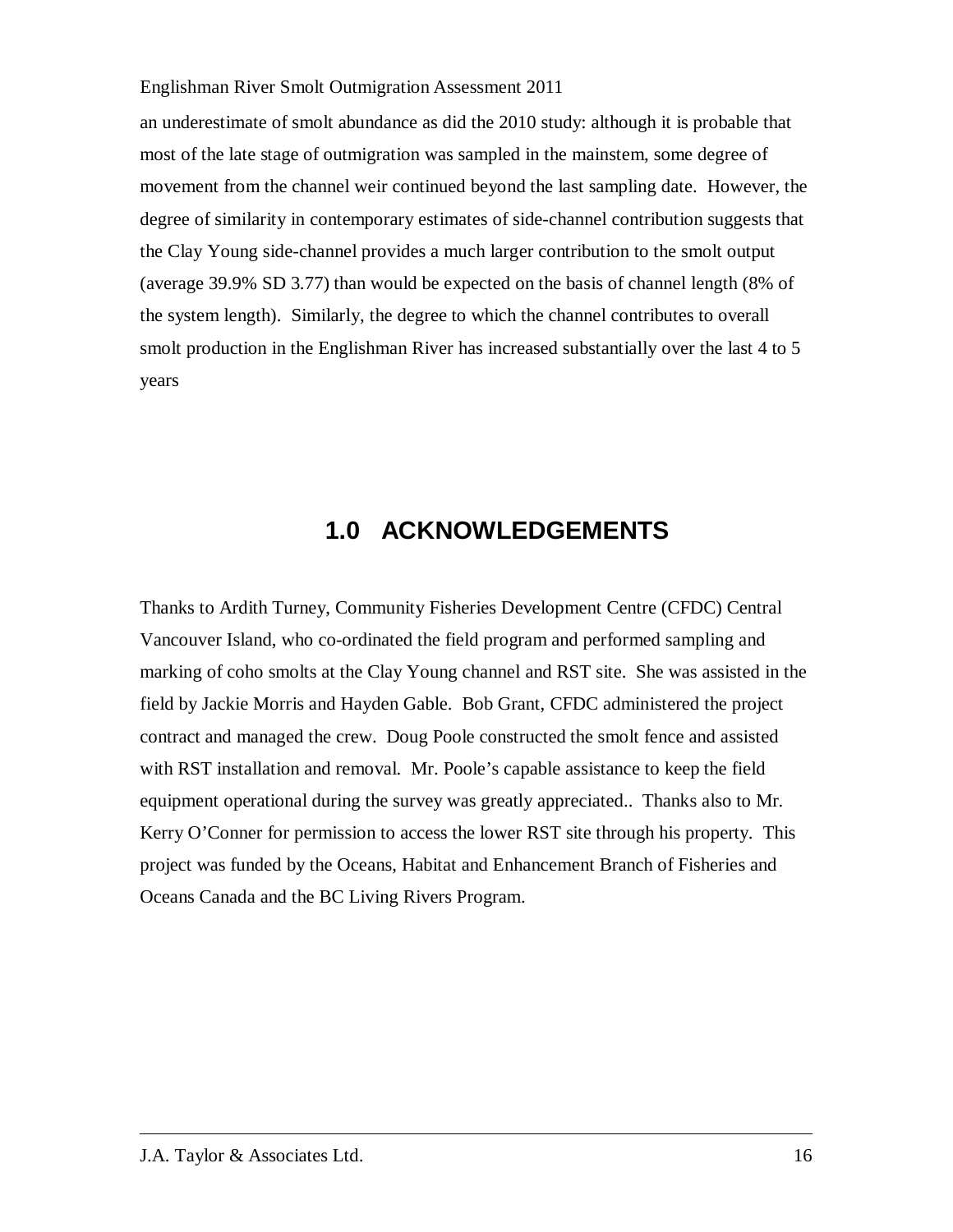an underestimate of smolt abundance as did the 2010 study: although it is probable that most of the late stage of outmigration was sampled in the mainstem, some degree of movement from the channel weir continued beyond the last sampling date. However, the degree of similarity in contemporary estimates of side-channel contribution suggests that the Clay Young side-channel provides a much larger contribution to the smolt output (average 39.9% SD 3.77) than would be expected on the basis of channel length (8% of the system length). Similarly, the degree to which the channel contributes to overall smolt production in the Englishman River has increased substantially over the last 4 to 5 years

## **1.0 ACKNOWLEDGEMENTS**

Thanks to Ardith Turney, Community Fisheries Development Centre (CFDC) Central Vancouver Island, who co-ordinated the field program and performed sampling and marking of coho smolts at the Clay Young channel and RST site. She was assisted in the field by Jackie Morris and Hayden Gable. Bob Grant, CFDC administered the project contract and managed the crew. Doug Poole constructed the smolt fence and assisted with RST installation and removal. Mr. Poole's capable assistance to keep the field equipment operational during the survey was greatly appreciated.. Thanks also to Mr. Kerry O'Conner for permission to access the lower RST site through his property. This project was funded by the Oceans, Habitat and Enhancement Branch of Fisheries and Oceans Canada and the BC Living Rivers Program.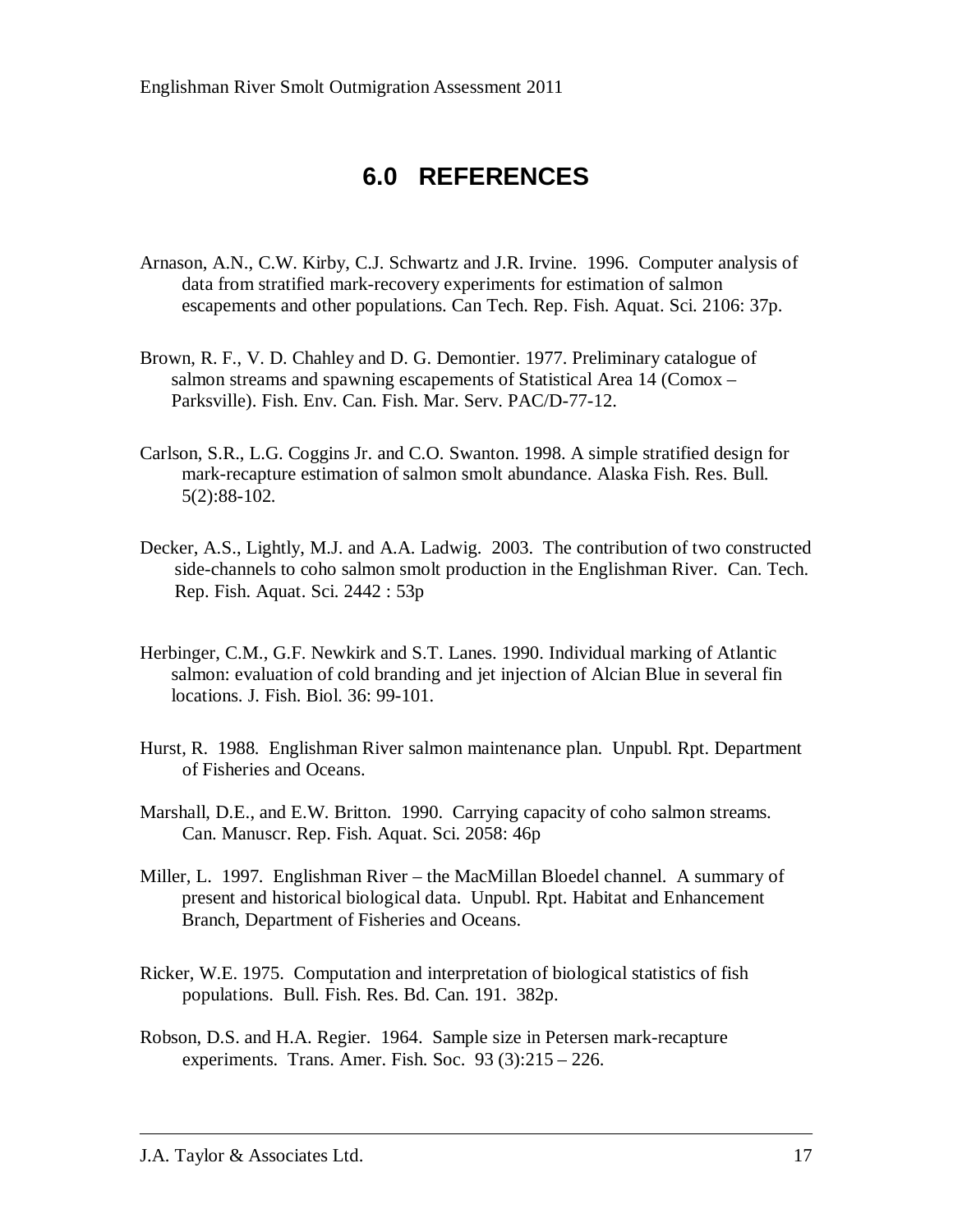# **6.0 REFERENCES**

- Arnason, A.N., C.W. Kirby, C.J. Schwartz and J.R. Irvine. 1996. Computer analysis of data from stratified mark-recovery experiments for estimation of salmon escapements and other populations. Can Tech. Rep. Fish. Aquat. Sci. 2106: 37p.
- Brown, R. F., V. D. Chahley and D. G. Demontier. 1977. Preliminary catalogue of salmon streams and spawning escapements of Statistical Area 14 (Comox – Parksville). Fish. Env. Can. Fish. Mar. Serv. PAC/D-77-12.
- Carlson, S.R., L.G. Coggins Jr. and C.O. Swanton. 1998. A simple stratified design for mark-recapture estimation of salmon smolt abundance. Alaska Fish. Res. Bull. 5(2):88-102.
- Decker, A.S., Lightly, M.J. and A.A. Ladwig. 2003. The contribution of two constructed side-channels to coho salmon smolt production in the Englishman River. Can. Tech. Rep. Fish. Aquat. Sci. 2442 : 53p
- Herbinger, C.M., G.F. Newkirk and S.T. Lanes. 1990. Individual marking of Atlantic salmon: evaluation of cold branding and jet injection of Alcian Blue in several fin locations. J. Fish. Biol. 36: 99-101.
- Hurst, R. 1988. Englishman River salmon maintenance plan. Unpubl. Rpt. Department of Fisheries and Oceans.
- Marshall, D.E., and E.W. Britton. 1990. Carrying capacity of coho salmon streams. Can. Manuscr. Rep. Fish. Aquat. Sci. 2058: 46p
- Miller, L. 1997. Englishman River the MacMillan Bloedel channel. A summary of present and historical biological data. Unpubl. Rpt. Habitat and Enhancement Branch, Department of Fisheries and Oceans.
- Ricker, W.E. 1975. Computation and interpretation of biological statistics of fish populations. Bull. Fish. Res. Bd. Can. 191. 382p.
- Robson, D.S. and H.A. Regier. 1964. Sample size in Petersen mark-recapture experiments. Trans. Amer. Fish. Soc. 93 (3):215 – 226.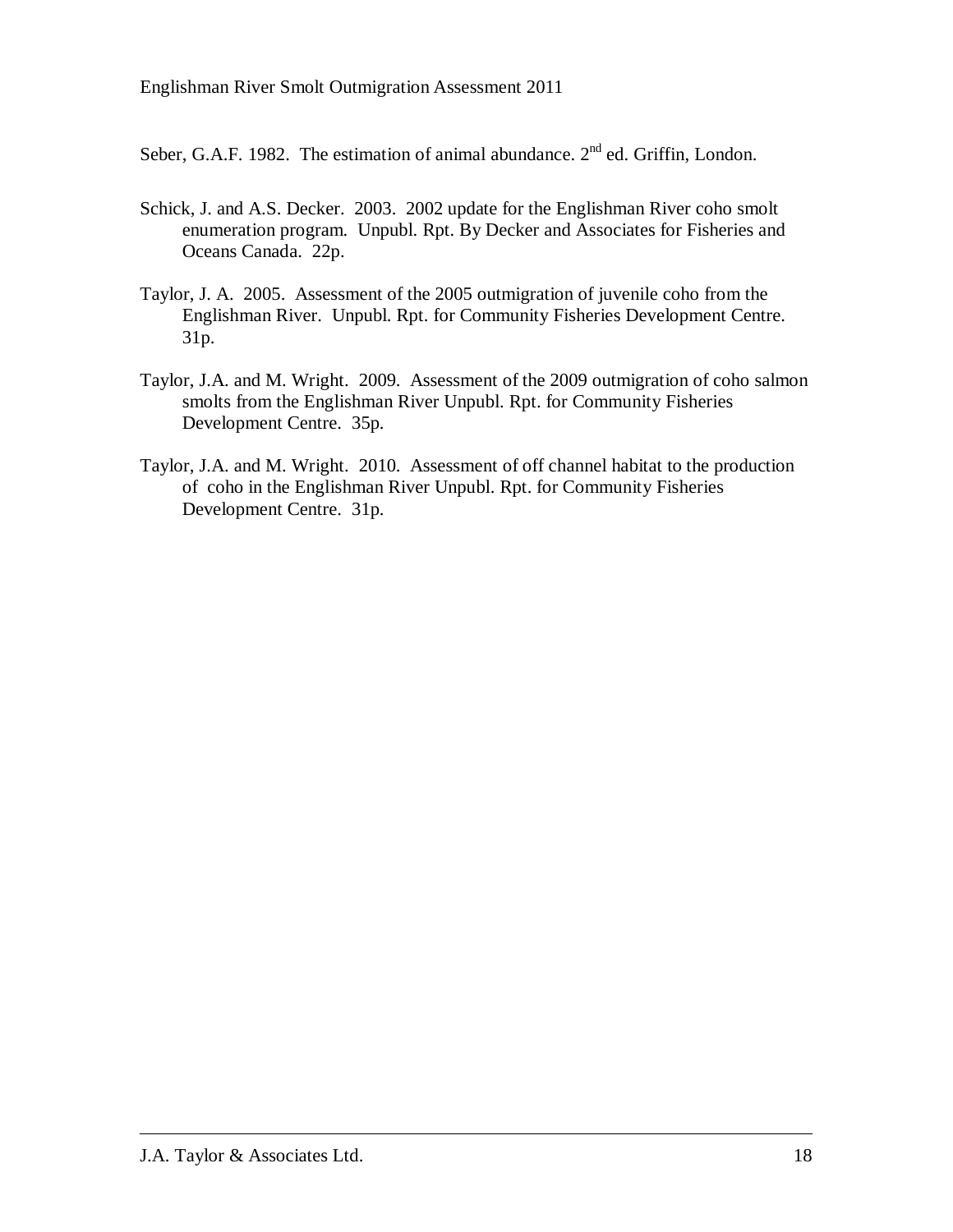Seber, G.A.F. 1982. The estimation of animal abundance.  $2<sup>nd</sup>$  ed. Griffin, London.

- Schick, J. and A.S. Decker. 2003. 2002 update for the Englishman River coho smolt enumeration program. Unpubl. Rpt. By Decker and Associates for Fisheries and Oceans Canada. 22p.
- Taylor, J. A. 2005. Assessment of the 2005 outmigration of juvenile coho from the Englishman River. Unpubl. Rpt. for Community Fisheries Development Centre. 31p.
- Taylor, J.A. and M. Wright. 2009. Assessment of the 2009 outmigration of coho salmon smolts from the Englishman River Unpubl. Rpt. for Community Fisheries Development Centre. 35p.
- Taylor, J.A. and M. Wright. 2010. Assessment of off channel habitat to the production of coho in the Englishman River Unpubl. Rpt. for Community Fisheries Development Centre. 31p.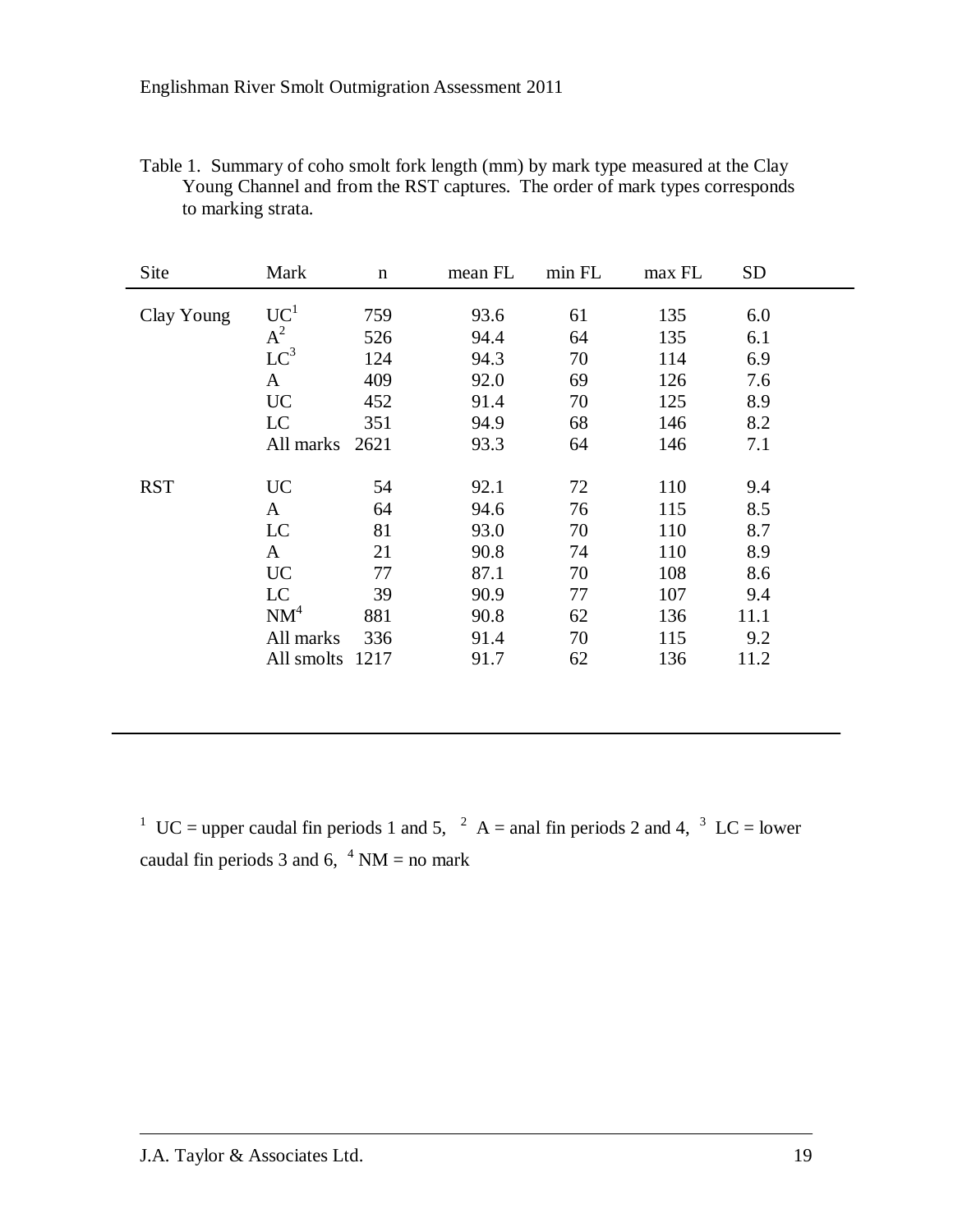| Table 1. Summary of coho smolt fork length (mm) by mark type measured at the Clay |
|-----------------------------------------------------------------------------------|
| Young Channel and from the RST captures. The order of mark types corresponds      |
| to marking strata.                                                                |

| Site       | Mark                                                              | $\mathbf n$                                    | mean FL                                                      | min FL                                 | max FL                                               | <b>SD</b>                                             |  |
|------------|-------------------------------------------------------------------|------------------------------------------------|--------------------------------------------------------------|----------------------------------------|------------------------------------------------------|-------------------------------------------------------|--|
| Clay Young | UC <sup>1</sup><br>$A^2$<br>$LC^3$<br>$\mathbf{A}$                | 759<br>526<br>124<br>409                       | 93.6<br>94.4<br>94.3<br>92.0                                 | 61<br>64<br>70<br>69                   | 135<br>135<br>114<br>126                             | 6.0<br>6.1<br>6.9<br>7.6                              |  |
|            | <b>UC</b>                                                         | 452                                            | 91.4                                                         | 70                                     | 125                                                  | 8.9                                                   |  |
|            | LC<br>All marks                                                   | 351<br>2621                                    | 94.9<br>93.3                                                 | 68<br>64                               | 146<br>146                                           | 8.2<br>7.1                                            |  |
| <b>RST</b> | <b>UC</b><br>A<br>LC<br>$\mathbf{A}$<br><b>UC</b><br>LC<br>$NM^4$ | 54<br>64<br>81<br>21<br>77<br>39<br>881<br>336 | 92.1<br>94.6<br>93.0<br>90.8<br>87.1<br>90.9<br>90.8<br>91.4 | 72<br>76<br>70<br>74<br>70<br>77<br>62 | 110<br>115<br>110<br>110<br>108<br>107<br>136<br>115 | 9.4<br>8.5<br>8.7<br>8.9<br>8.6<br>9.4<br>11.1<br>9.2 |  |
|            | All marks<br>All smolts                                           | 1217                                           | 91.7                                                         | 70<br>62                               | 136                                                  | 11.2                                                  |  |

<sup>1</sup> UC = upper caudal fin periods 1 and 5, <sup>2</sup> A = anal fin periods 2 and 4, <sup>3</sup> LC = lower caudal fin periods 3 and 6,  $4 \text{ NM} = \text{no mark}$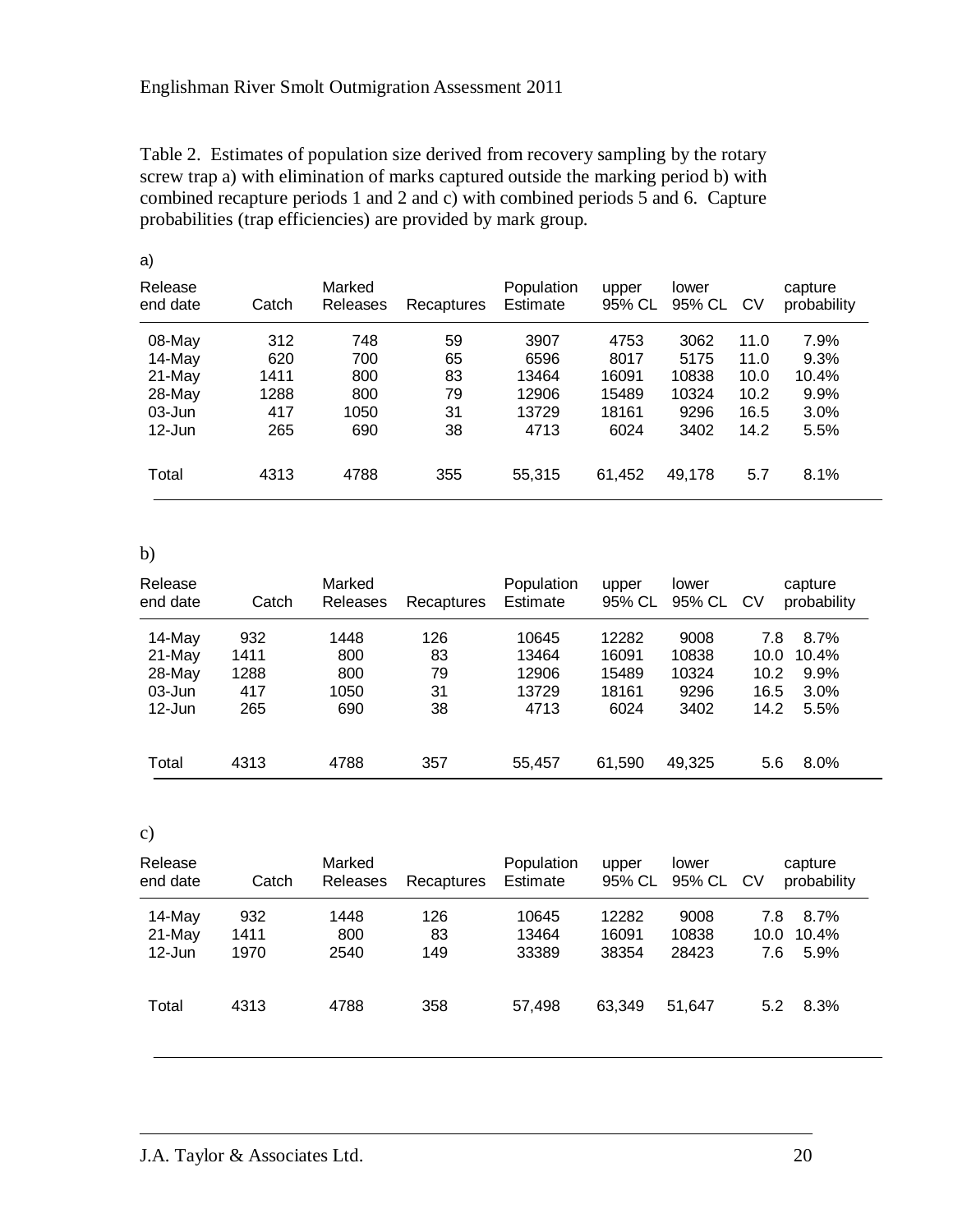Table 2. Estimates of population size derived from recovery sampling by the rotary screw trap a) with elimination of marks captured outside the marking period b) with combined recapture periods 1 and 2 and c) with combined periods 5 and 6. Capture probabilities (trap efficiencies) are provided by mark group.

| a)                  |       |                    |            |                        |                 |                 |           |                        |
|---------------------|-------|--------------------|------------|------------------------|-----------------|-----------------|-----------|------------------------|
| Release<br>end date | Catch | Marked<br>Releases | Recaptures | Population<br>Estimate | upper<br>95% CL | lower<br>95% CL | <b>CV</b> | capture<br>probability |
| 08-May              | 312   | 748                | 59         | 3907                   | 4753            | 3062            | 11.0      | 7.9%                   |
| 14-May              | 620   | 700                | 65         | 6596                   | 8017            | 5175            | 11.0      | 9.3%                   |
| 21-May              | 1411  | 800                | 83         | 13464                  | 16091           | 10838           | 10.0      | 10.4%                  |
| 28-May              | 1288  | 800                | 79         | 12906                  | 15489           | 10324           | 10.2      | 9.9%                   |
| 03-Jun              | 417   | 1050               | 31         | 13729                  | 18161           | 9296            | 16.5      | 3.0%                   |
| $12$ -Jun           | 265   | 690                | 38         | 4713                   | 6024            | 3402            | 14.2      | 5.5%                   |
| Total               | 4313  | 4788               | 355        | 55,315                 | 61,452          | 49,178          | 5.7       | 8.1%                   |

b)

| Release<br>end date    | Catch        | Marked<br>Releases | Recaptures | Population<br>Estimate | upper<br>95% CL | lower<br>95% CL | <b>CV</b>    | capture<br>probability |
|------------------------|--------------|--------------------|------------|------------------------|-----------------|-----------------|--------------|------------------------|
| 14-May                 | 932          | 1448               | 126        | 10645                  | 12282           | 9008            | 7.8          | 8.7%                   |
| 21-May<br>28-May       | 1411<br>1288 | 800<br>800         | 83<br>79   | 13464<br>12906         | 16091<br>15489  | 10838<br>10324  | 10.0<br>10.2 | 10.4%<br>9.9%          |
| $03$ -Jun<br>$12$ -Jun | 417<br>265   | 1050<br>690        | 31<br>38   | 13729<br>4713          | 18161<br>6024   | 9296<br>3402    | 16.5<br>14.2 | 3.0%<br>5.5%           |
|                        |              |                    |            |                        |                 |                 |              |                        |
| Total                  | 4313         | 4788               | 357        | 55,457                 | 61,590          | 49,325          | 5.6          | 8.0%                   |

c)

| Release<br>end date             | Catch               | Marked<br><b>Releases</b> | Recaptures       | Population<br>Estimate  | upper<br>95% CL         | lower<br>95% CL CV     |                    | capture<br>probability |
|---------------------------------|---------------------|---------------------------|------------------|-------------------------|-------------------------|------------------------|--------------------|------------------------|
| 14-May<br>$21-May$<br>$12$ -Jun | 932<br>1411<br>1970 | 1448<br>800<br>2540       | 126<br>83<br>149 | 10645<br>13464<br>33389 | 12282<br>16091<br>38354 | 9008<br>10838<br>28423 | 7.8<br>10.0<br>7.6 | 8.7%<br>10.4%<br>5.9%  |
| Total                           | 4313                | 4788                      | 358              | 57,498                  | 63,349                  | 51.647                 | 5.2                | 8.3%                   |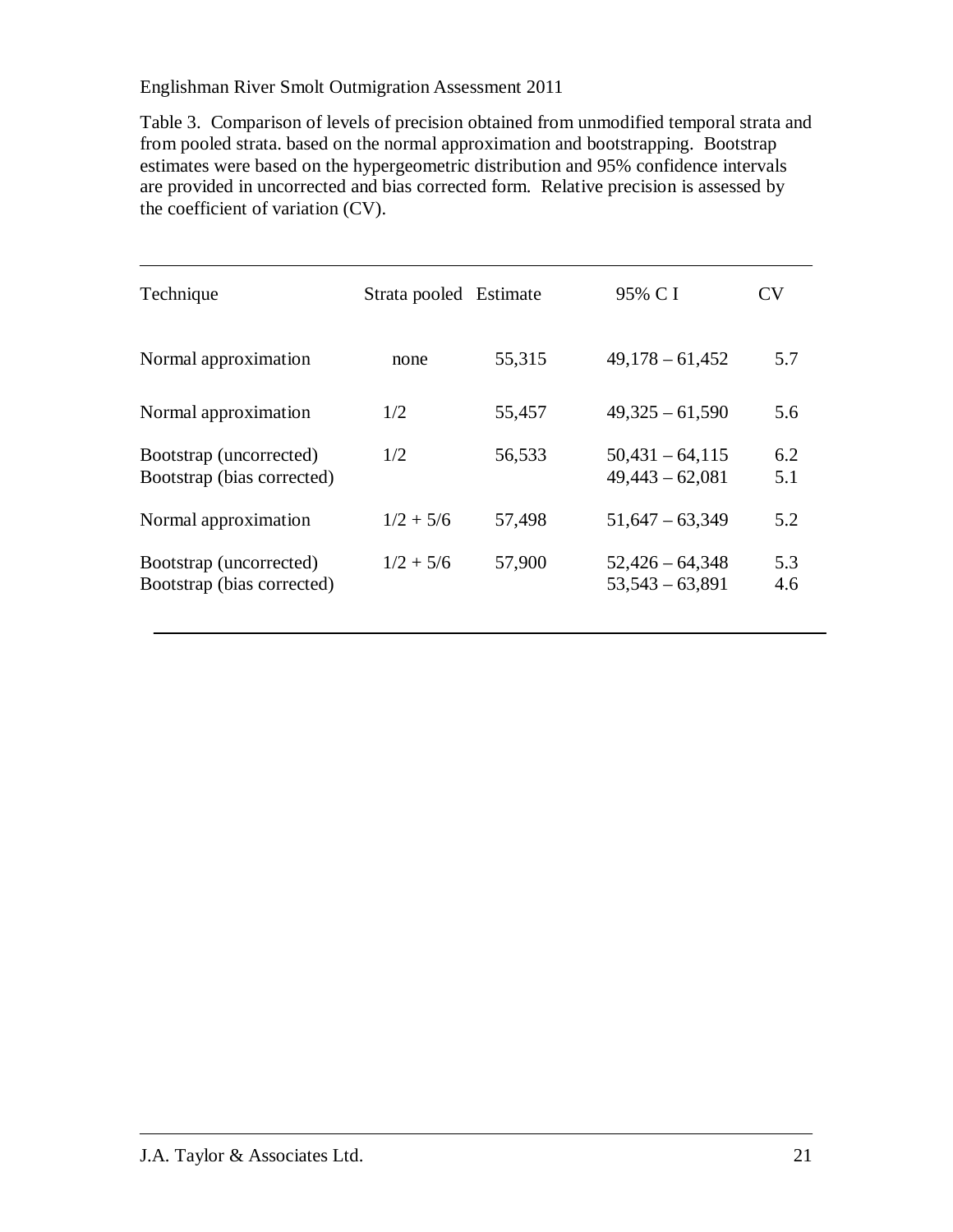Table 3. Comparison of levels of precision obtained from unmodified temporal strata and from pooled strata. based on the normal approximation and bootstrapping. Bootstrap estimates were based on the hypergeometric distribution and 95% confidence intervals are provided in uncorrected and bias corrected form. Relative precision is assessed by the coefficient of variation (CV).

| Technique                                             | Strata pooled Estimate |        | 95% C I                                | CV         |
|-------------------------------------------------------|------------------------|--------|----------------------------------------|------------|
| Normal approximation                                  | none                   | 55,315 | $49,178 - 61,452$                      | 5.7        |
| Normal approximation                                  | 1/2                    | 55,457 | $49,325 - 61,590$                      | 5.6        |
| Bootstrap (uncorrected)<br>Bootstrap (bias corrected) | 1/2                    | 56,533 | $50,431 - 64,115$<br>$49,443 - 62,081$ | 6.2<br>5.1 |
| Normal approximation                                  | $1/2 + 5/6$            | 57,498 | $51,647 - 63,349$                      | 5.2        |
| Bootstrap (uncorrected)<br>Bootstrap (bias corrected) | $1/2 + 5/6$            | 57,900 | $52,426 - 64,348$<br>$53,543 - 63,891$ | 5.3<br>4.6 |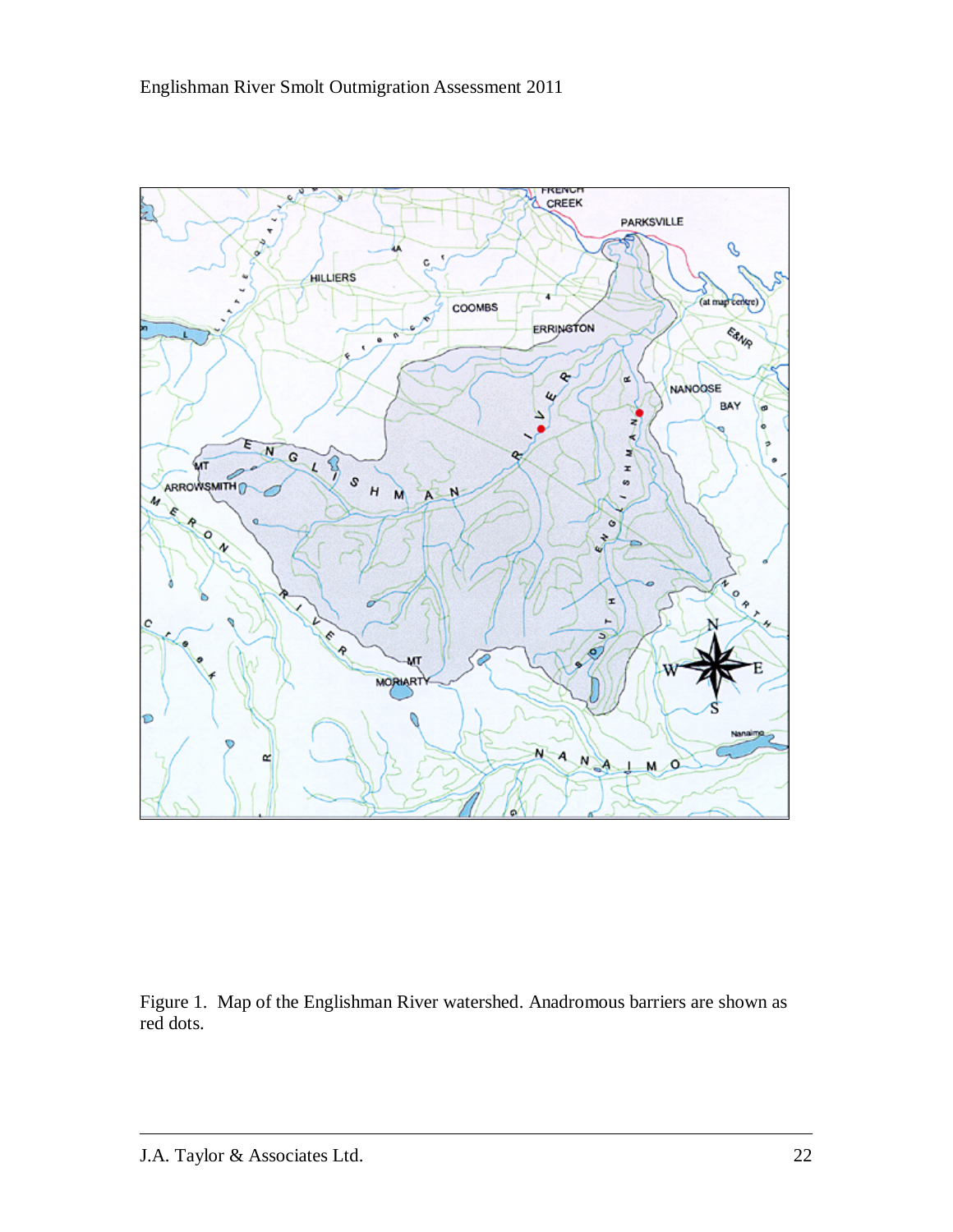

Figure 1. Map of the Englishman River watershed. Anadromous barriers are shown as red dots.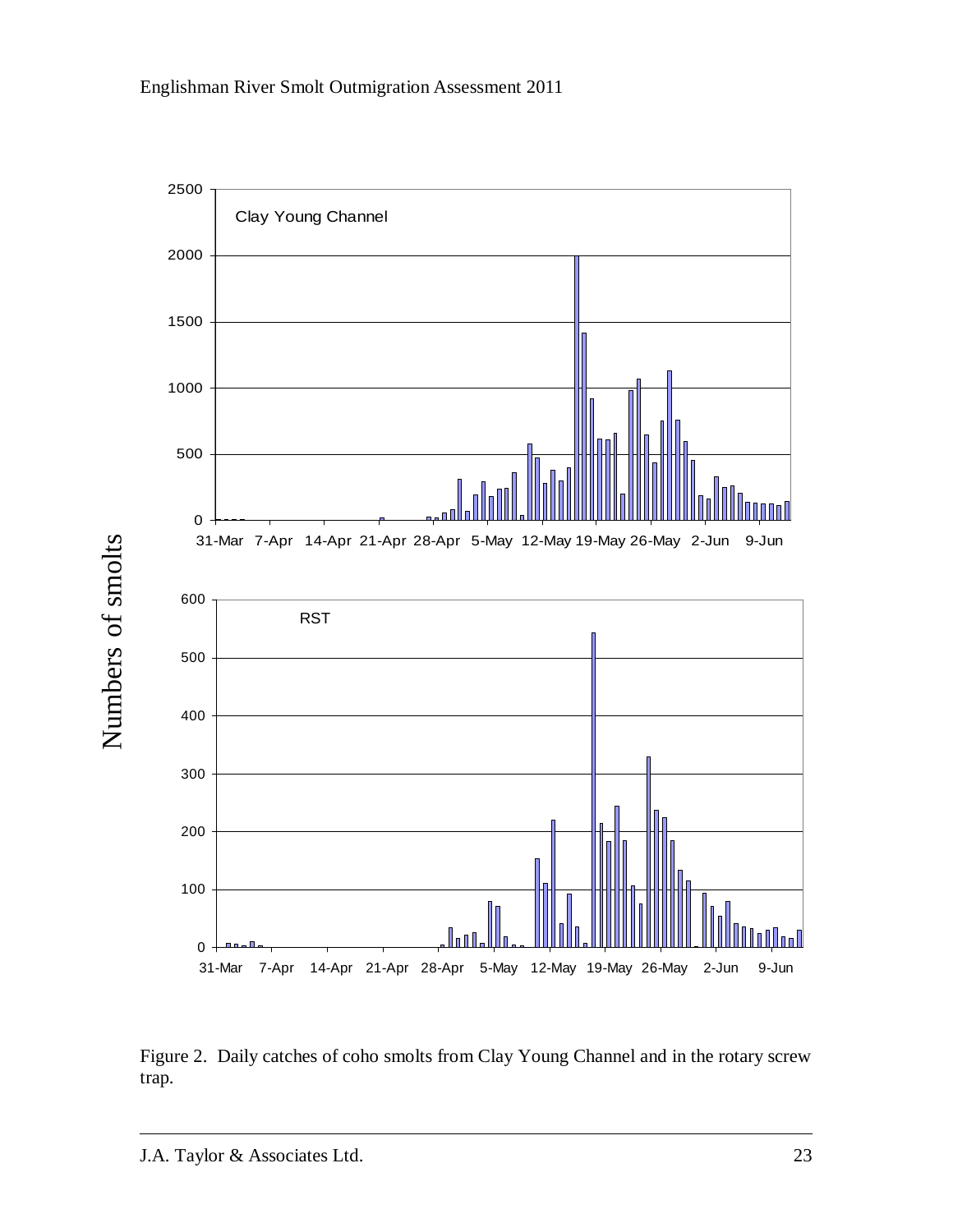

Figure 2. Daily catches of coho smolts from Clay Young Channel and in the rotary screw trap.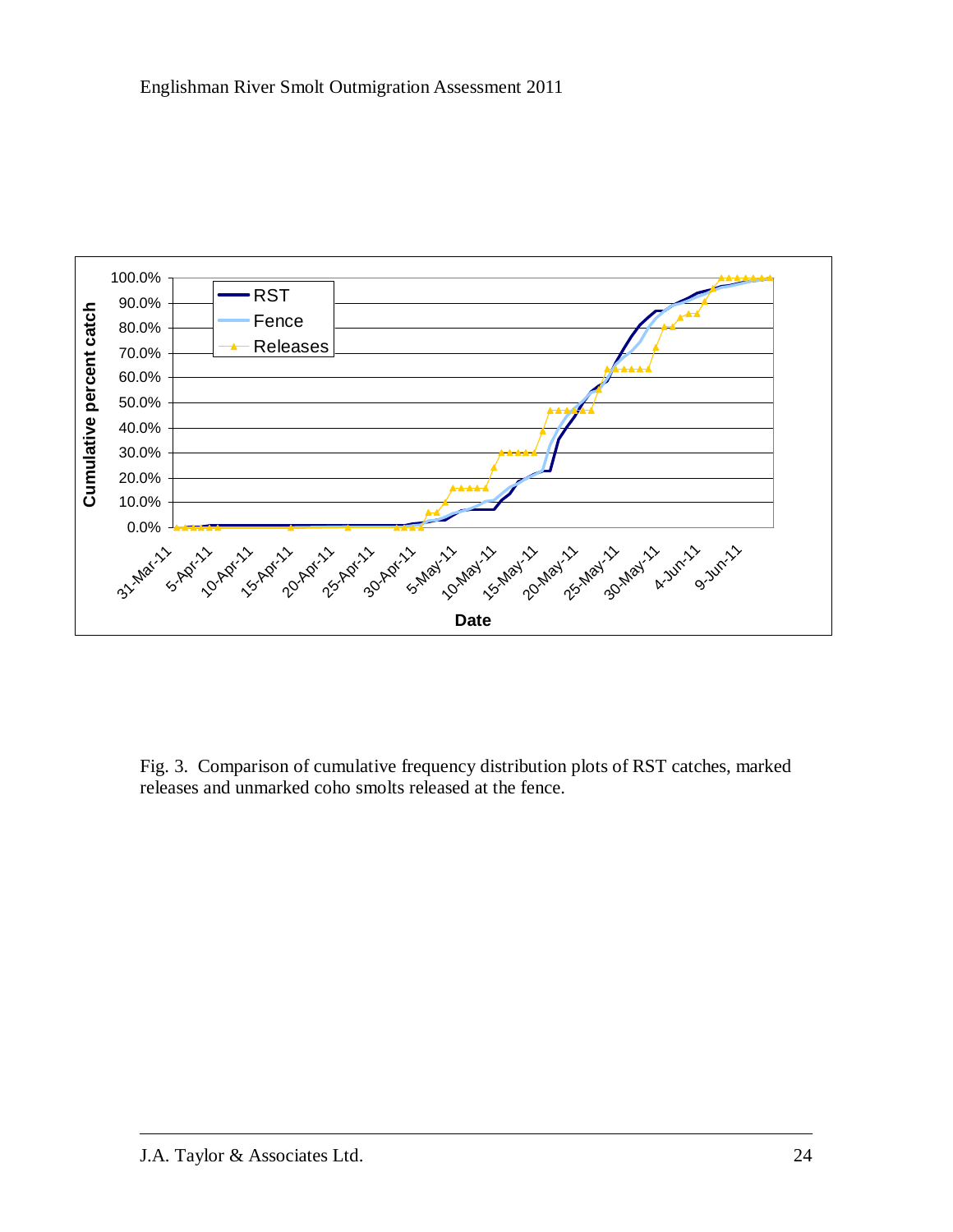

Fig. 3. Comparison of cumulative frequency distribution plots of RST catches, marked releases and unmarked coho smolts released at the fence.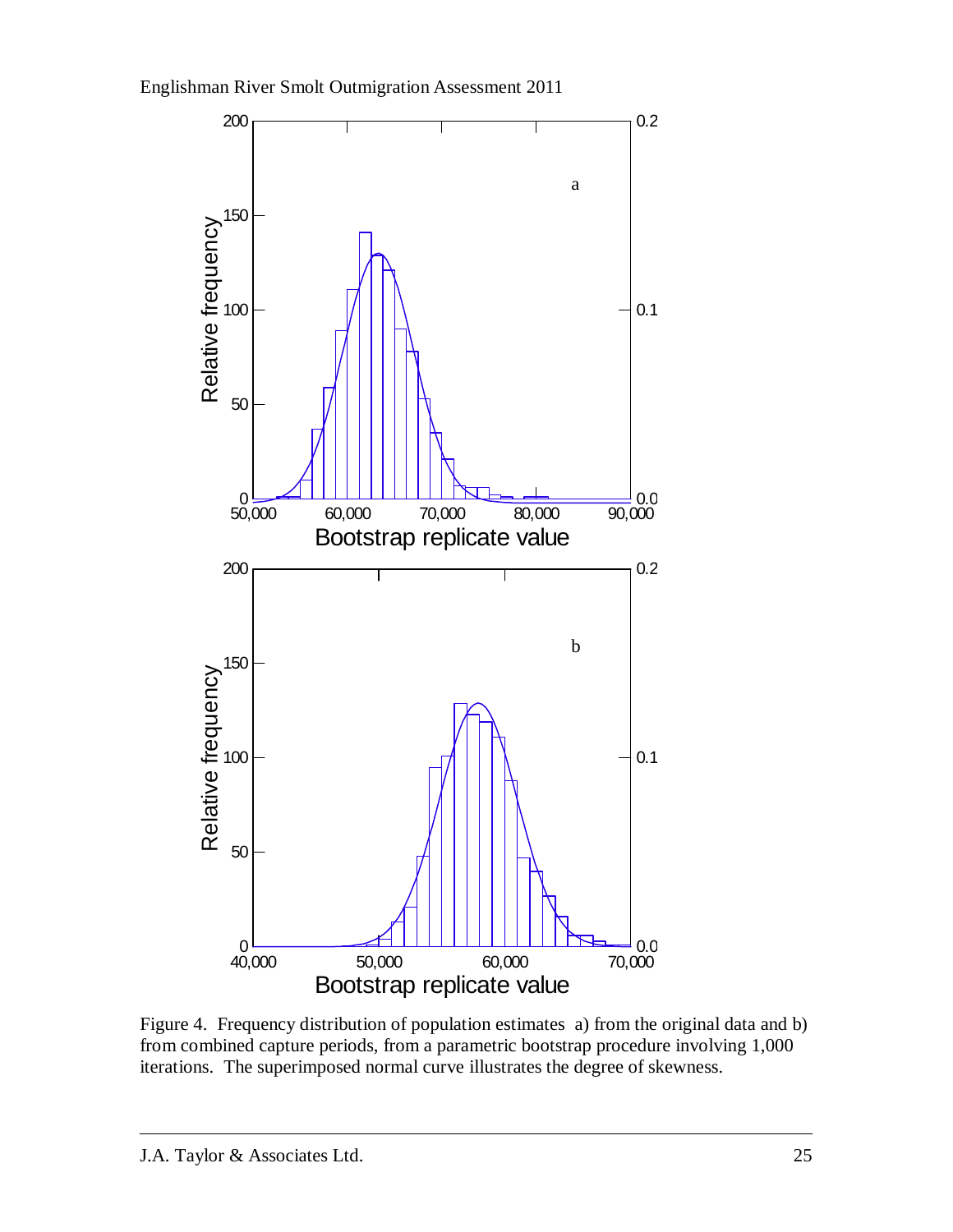Englishman River Smolt Outmigration Assessment 2011



Figure 4. Frequency distribution of population estimates a) from the original data and b) from combined capture periods, from a parametric bootstrap procedure involving 1,000 iterations. The superimposed normal curve illustrates the degree of skewness.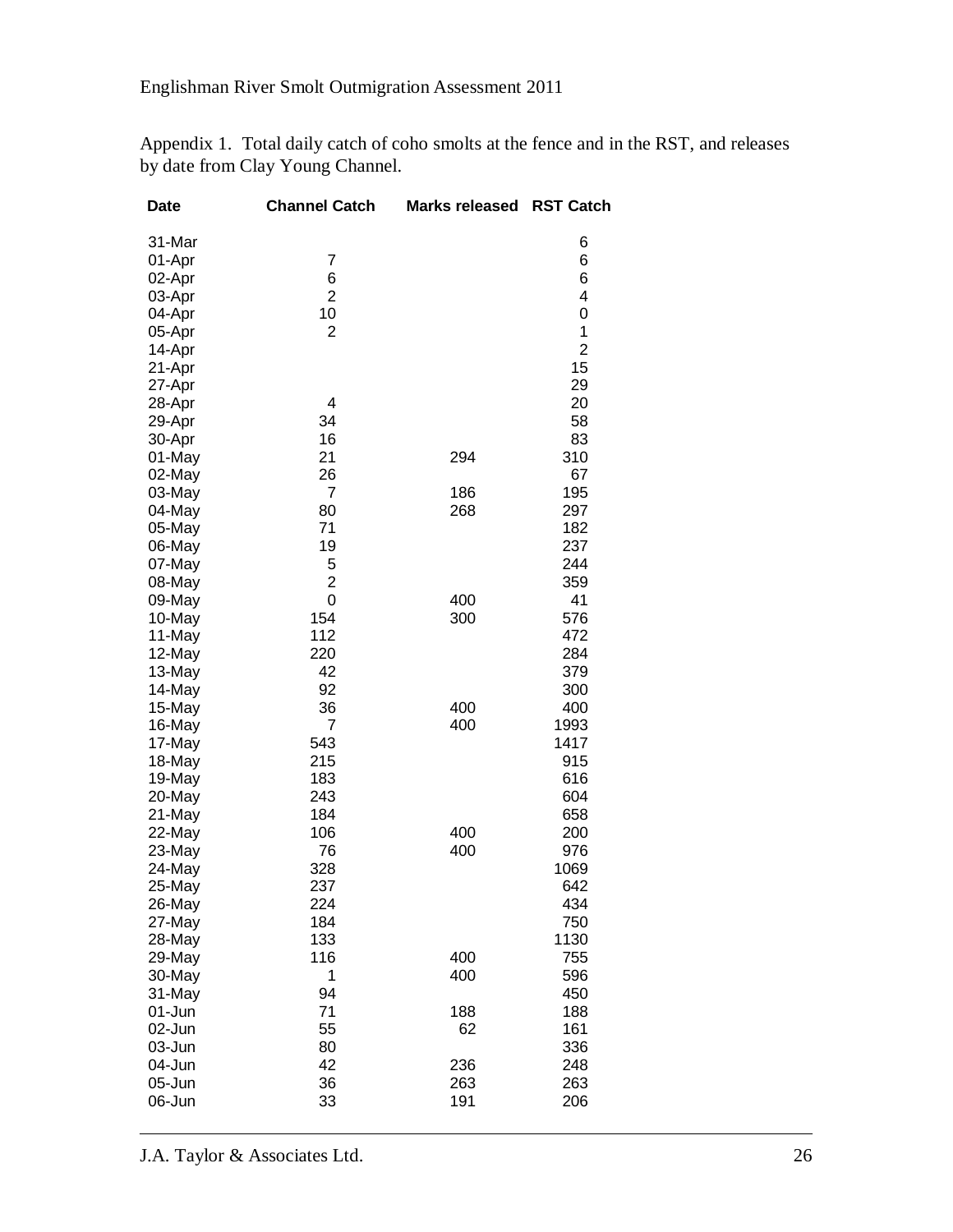Appendix 1. Total daily catch of coho smolts at the fence and in the RST, and releases by date from Clay Young Channel.

| <b>Date</b> | <b>Channel Catch</b> | <b>Marks released</b> | <b>RST Catch</b> |
|-------------|----------------------|-----------------------|------------------|
| 31-Mar      |                      |                       | 6                |
| 01-Apr      | 7                    |                       | 6                |
| 02-Apr      | 6                    |                       | 6                |
| 03-Apr      | $\overline{2}$       |                       | 4                |
| 04-Apr      | 10                   |                       | 0                |
| 05-Apr      | $\overline{2}$       |                       | 1                |
| 14-Apr      |                      |                       | $\overline{2}$   |
| 21-Apr      |                      |                       | 15               |
| 27-Apr      |                      |                       | 29               |
| 28-Apr      | 4                    |                       | 20               |
| 29-Apr      | 34                   |                       | 58               |
| 30-Apr      | 16                   |                       | 83               |
| 01-May      | 21                   | 294                   | 310              |
| 02-May      | 26                   |                       | 67               |
| 03-May      | $\overline{7}$       | 186                   | 195              |
| 04-May      | 80                   | 268                   | 297              |
| 05-May      | 71                   |                       | 182              |
| 06-May      | 19                   |                       | 237              |
| 07-May      | 5                    |                       | 244              |
| 08-May      | $\overline{2}$       |                       | 359              |
| 09-May      | 0                    | 400                   | 41               |
| 10-May      | 154                  | 300                   | 576              |
| 11-May      | 112                  |                       | 472              |
| 12-May      | 220                  |                       | 284              |
| 13-May      | 42                   |                       | 379              |
| 14-May      | 92                   |                       | 300              |
| 15-May      | 36                   | 400                   | 400              |
| 16-May      | 7                    | 400                   | 1993             |
| 17-May      | 543                  |                       | 1417             |
| 18-May      | 215                  |                       | 915              |
| 19-May      | 183                  |                       | 616              |
| 20-May      | 243                  |                       | 604              |
| 21-May      | 184                  |                       | 658              |
| 22-May      | 106                  | 400                   | 200              |
| 23-May      | 76                   | 400                   | 976              |
| 24-May      | 328                  |                       | 1069             |
| 25-May      | 237                  |                       | 642              |
| 26-May      | 224                  |                       | 434              |
| 27-May      | 184                  |                       | 750              |
| 28-May      | 133                  |                       | 1130             |
| 29-May      | 116                  | 400                   | 755              |
| 30-May      | 1                    | 400                   | 596              |
| 31-May      | 94                   |                       | 450              |
| 01-Jun      | 71                   | 188                   | 188              |
| 02-Jun      | 55                   | 62                    | 161              |
| 03-Jun      | 80                   |                       | 336              |
| 04-Jun      | 42                   | 236                   | 248              |
| 05-Jun      | 36                   | 263                   | 263              |
| 06-Jun      | 33                   | 191                   | 206              |

J.A. Taylor & Associates Ltd. 26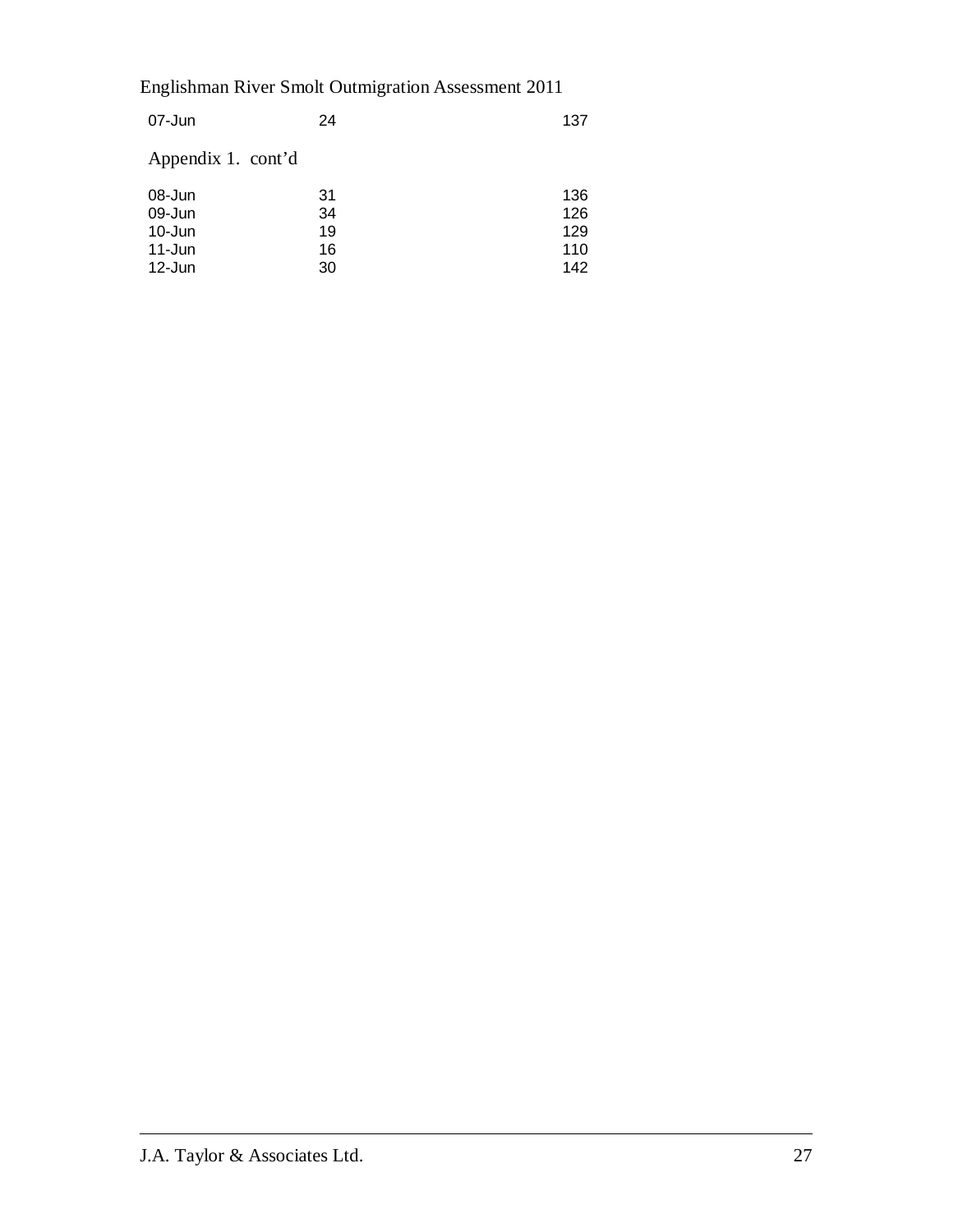| 24 | 137 |
|----|-----|
|    |     |
| 31 | 136 |
| 34 | 126 |
| 19 | 129 |
| 16 | 110 |
| 30 | 142 |
|    |     |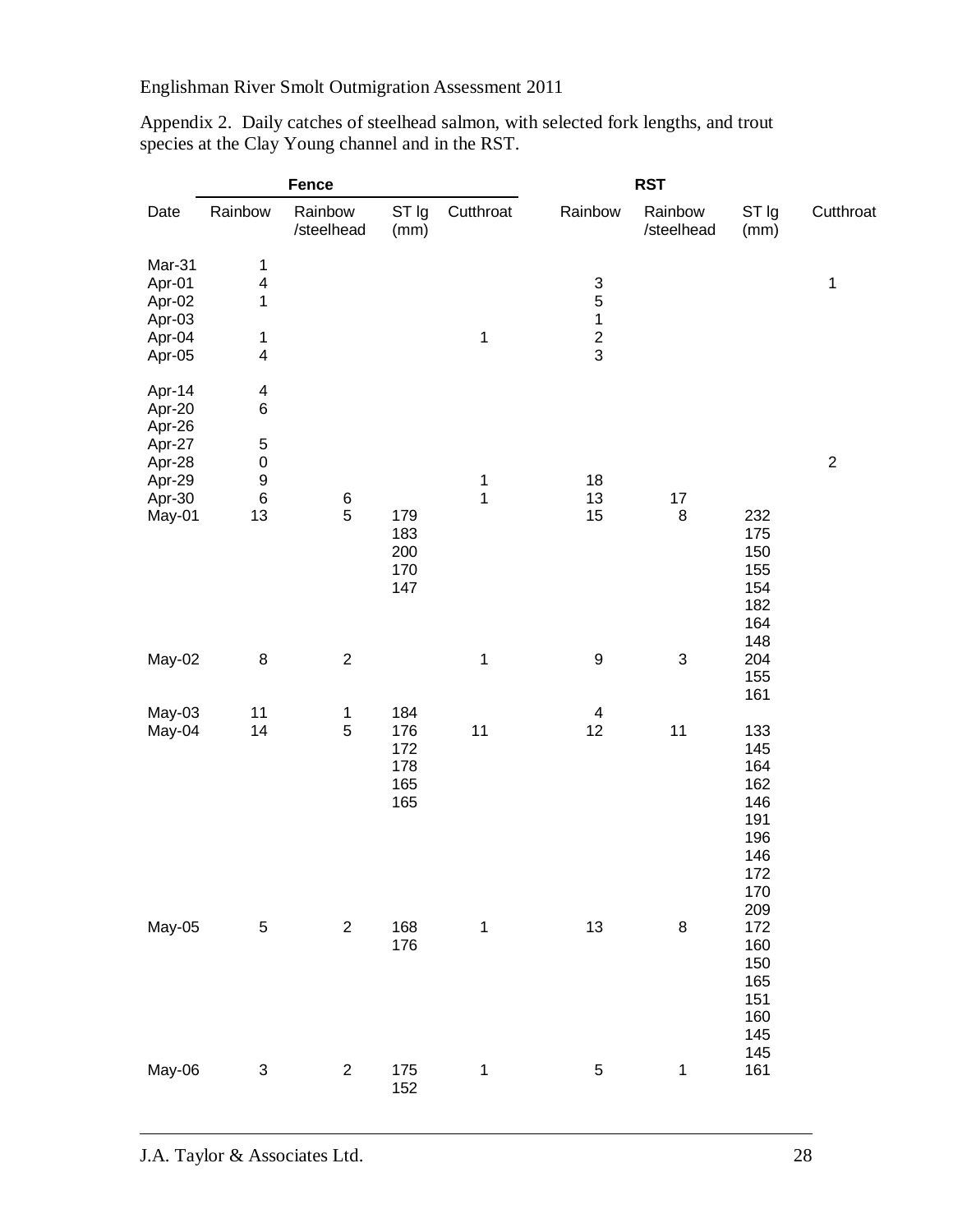|                                                          |                                                       | <b>Fence</b>                          |                                        | <b>RST</b>                 |                                                             |                           |                                                                           |            |  |  |
|----------------------------------------------------------|-------------------------------------------------------|---------------------------------------|----------------------------------------|----------------------------|-------------------------------------------------------------|---------------------------|---------------------------------------------------------------------------|------------|--|--|
| Date                                                     | Rainbow                                               | Rainbow<br>/steelhead                 | ST Ig<br>(mm)                          | Cutthroat                  | Rainbow                                                     | Rainbow<br>/steelhead     | ST Ig<br>(mm)                                                             | Cutthroat  |  |  |
| Mar-31<br>Apr-01<br>Apr-02<br>Apr-03<br>Apr-04<br>Apr-05 | $\mathbf{1}$<br>4<br>$\mathbf{1}$<br>$\mathbf 1$<br>4 |                                       |                                        | $\mathbf 1$                | $\begin{array}{c} 3 \\ 5 \\ 1 \end{array}$<br>$\frac{2}{3}$ |                           |                                                                           | 1          |  |  |
| Apr-14<br>Apr-20<br>Apr-26<br>Apr-27                     | $\overline{\mathcal{A}}$<br>$\,6$<br>5                |                                       |                                        |                            |                                                             |                           |                                                                           |            |  |  |
| Apr-28<br>Apr-29<br>Apr-30                               | $\pmb{0}$<br>9<br>$\,6$                               | $\begin{array}{c} 6 \\ 5 \end{array}$ |                                        | $\mathbf 1$<br>$\mathbf 1$ | 18<br>13                                                    | 17                        |                                                                           | $\sqrt{2}$ |  |  |
| May-01                                                   | 13                                                    |                                       | 179<br>183<br>200<br>170<br>147        |                            | 15                                                          | $\bf 8$                   | 232<br>175<br>150<br>155<br>154<br>182<br>164<br>148                      |            |  |  |
| May-02                                                   | 8                                                     | $\sqrt{2}$                            |                                        | $\mathbf 1$                | $\boldsymbol{9}$                                            | $\ensuremath{\mathsf{3}}$ | 204<br>155<br>161                                                         |            |  |  |
| May-03<br>May-04                                         | 11<br>14                                              | $\mathbf{1}$<br>5                     | 184<br>176<br>172<br>178<br>165<br>165 | 11                         | $\overline{\mathcal{A}}$<br>12                              | 11                        | 133<br>145<br>164<br>162<br>146<br>191<br>196<br>146<br>172<br>170<br>209 |            |  |  |
| May-05                                                   | $\mathbf 5$                                           | $\boldsymbol{2}$                      | 168<br>176                             | $\mathbf 1$                | $13$                                                        | $\bf 8$                   | 172<br>160<br>150<br>165<br>151<br>160<br>145<br>145                      |            |  |  |
| May-06                                                   | $\ensuremath{\mathsf{3}}$                             | $\overline{2}$                        | 175<br>152                             | 1                          | $\mathbf 5$                                                 | $\mathbf 1$               | 161                                                                       |            |  |  |

Appendix 2. Daily catches of steelhead salmon, with selected fork lengths, and trout species at the Clay Young channel and in the RST.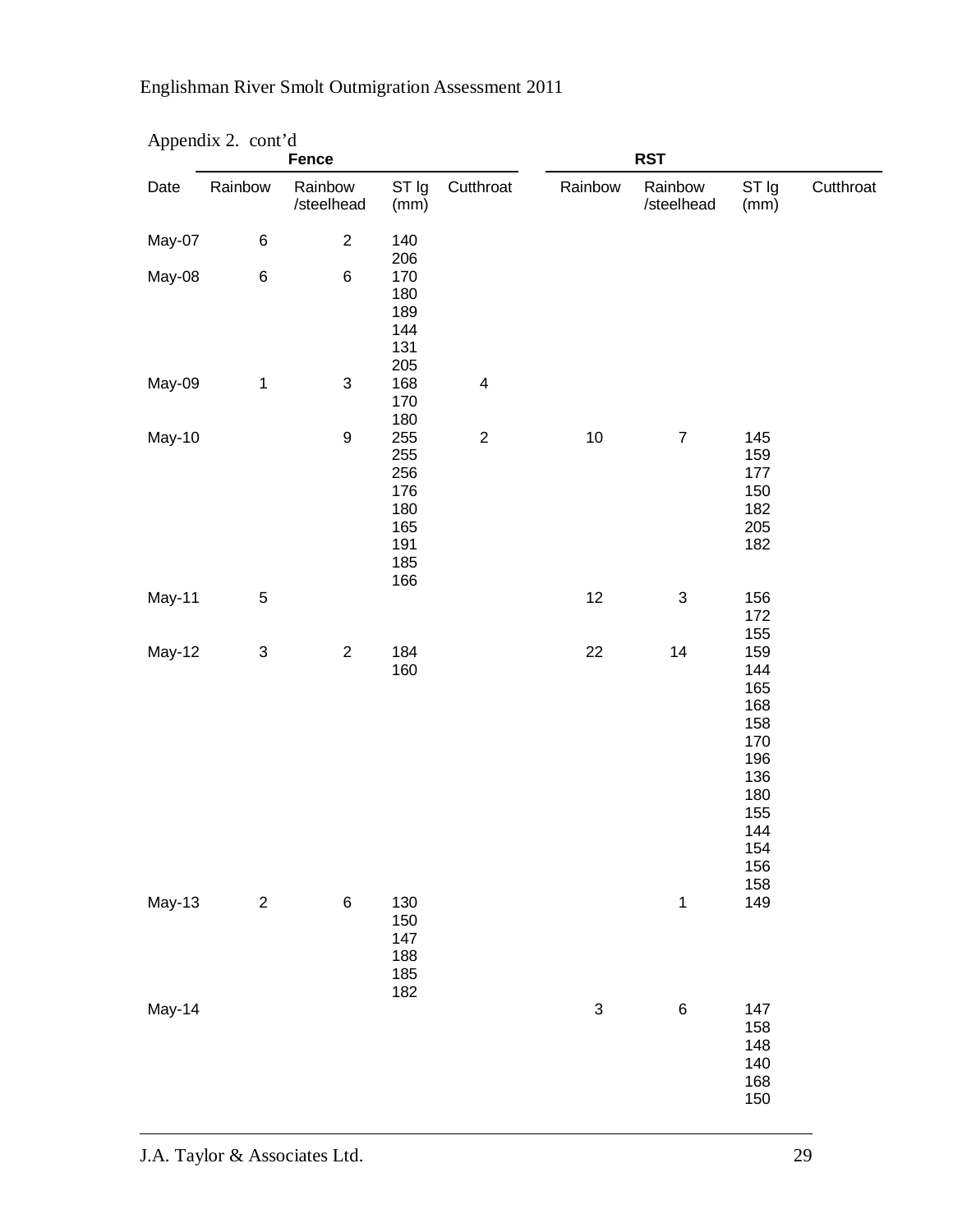| $\Delta p$ $\mu$ $\Delta \lambda$ $\mu$ $\mu$<br><b>Fence</b> |                           |                           |                                                             |                         | <b>RST</b>                |                           |                                                                                                |           |
|---------------------------------------------------------------|---------------------------|---------------------------|-------------------------------------------------------------|-------------------------|---------------------------|---------------------------|------------------------------------------------------------------------------------------------|-----------|
| Date                                                          | Rainbow                   | Rainbow<br>/steelhead     | ST Ig<br>(mm)                                               | Cutthroat               | Rainbow                   | Rainbow<br>/steelhead     | ST Ig<br>(mm)                                                                                  | Cutthroat |
| May-07                                                        | 6                         | $\boldsymbol{2}$          | 140<br>206                                                  |                         |                           |                           |                                                                                                |           |
| May-08                                                        | $\,6$                     | $\,6$                     | 170<br>180<br>189<br>144<br>131<br>205                      |                         |                           |                           |                                                                                                |           |
| May-09                                                        | $\mathbf{1}$              | $\ensuremath{\mathsf{3}}$ | 168<br>170<br>180                                           | $\overline{\mathbf{4}}$ |                           |                           |                                                                                                |           |
| May-10                                                        |                           | $\boldsymbol{9}$          | 255<br>255<br>256<br>176<br>180<br>165<br>191<br>185<br>166 | $\sqrt{2}$              | $10\,$                    | $\boldsymbol{7}$          | 145<br>159<br>177<br>150<br>182<br>205<br>182                                                  |           |
| May-11                                                        | $\mathbf 5$               |                           |                                                             |                         | 12                        | $\ensuremath{\mathsf{3}}$ | 156<br>172<br>155                                                                              |           |
| May-12                                                        | $\ensuremath{\mathsf{3}}$ | $\boldsymbol{2}$          | 184<br>160                                                  |                         | 22                        | 14                        | 159<br>144<br>165<br>168<br>158<br>170<br>196<br>136<br>180<br>155<br>144<br>154<br>156<br>158 |           |
| May-13                                                        | $\sqrt{2}$                | $\,6$                     | 130<br>150<br>147<br>188<br>185<br>182                      |                         |                           | $\mathbf{1}$              | 149                                                                                            |           |
| May-14                                                        |                           |                           |                                                             |                         | $\ensuremath{\mathsf{3}}$ | $\,6$                     | 147<br>158<br>148<br>140<br>168<br>150                                                         |           |

### Appendix 2. cont'd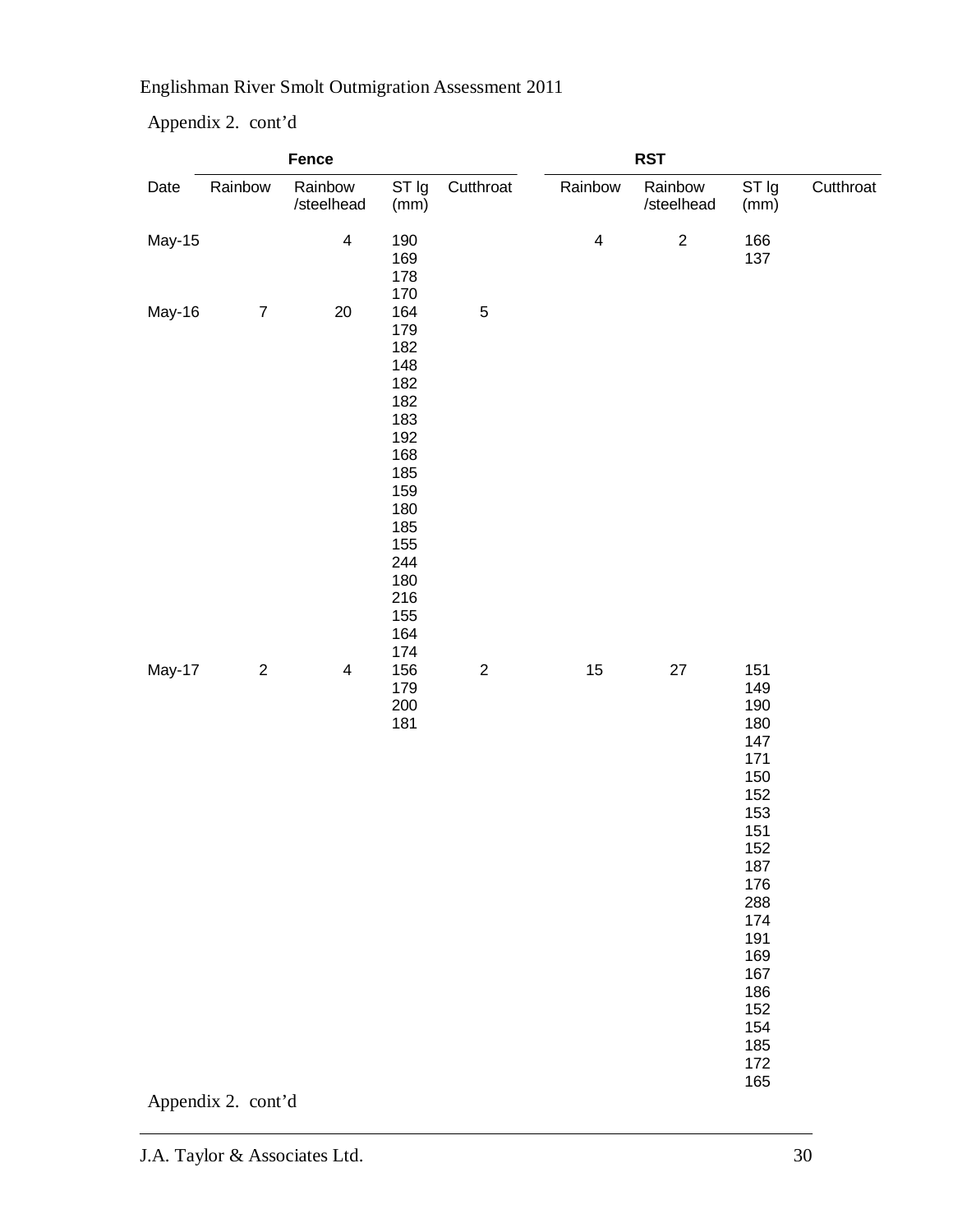Appendix 2. cont'd

|        | Fence              |                         |                                                                                                                                   |             |                         |                       |                                                                                                                                                                      |           |
|--------|--------------------|-------------------------|-----------------------------------------------------------------------------------------------------------------------------------|-------------|-------------------------|-----------------------|----------------------------------------------------------------------------------------------------------------------------------------------------------------------|-----------|
| Date   | Rainbow            | Rainbow<br>/steelhead   | ST Ig<br>(mm)                                                                                                                     | Cutthroat   | Rainbow                 | Rainbow<br>/steelhead | ST Ig<br>(mm)                                                                                                                                                        | Cutthroat |
| May-15 |                    | $\overline{\mathbf{4}}$ | 190<br>169<br>178<br>170                                                                                                          |             | $\overline{\mathbf{4}}$ | $\sqrt{2}$            | 166<br>137                                                                                                                                                           |           |
| May-16 | $\boldsymbol{7}$   | 20                      | 164<br>179<br>182<br>148<br>182<br>182<br>183<br>192<br>168<br>185<br>159<br>180<br>185<br>155<br>244<br>180<br>216<br>155<br>164 | $\mathbf 5$ |                         |                       |                                                                                                                                                                      |           |
| May-17 | $\sqrt{2}$         | $\overline{4}$          | 174<br>156<br>179<br>200<br>181                                                                                                   | $\sqrt{2}$  | $15\,$                  | 27                    | 151<br>149<br>190<br>180<br>147<br>171<br>150<br>152<br>153<br>151<br>152<br>187<br>176<br>288<br>174<br>191<br>169<br>167<br>186<br>152<br>154<br>185<br>172<br>165 |           |
|        | Appendix 2. cont'd |                         |                                                                                                                                   |             |                         |                       |                                                                                                                                                                      |           |

J.A. Taylor & Associates Ltd. 30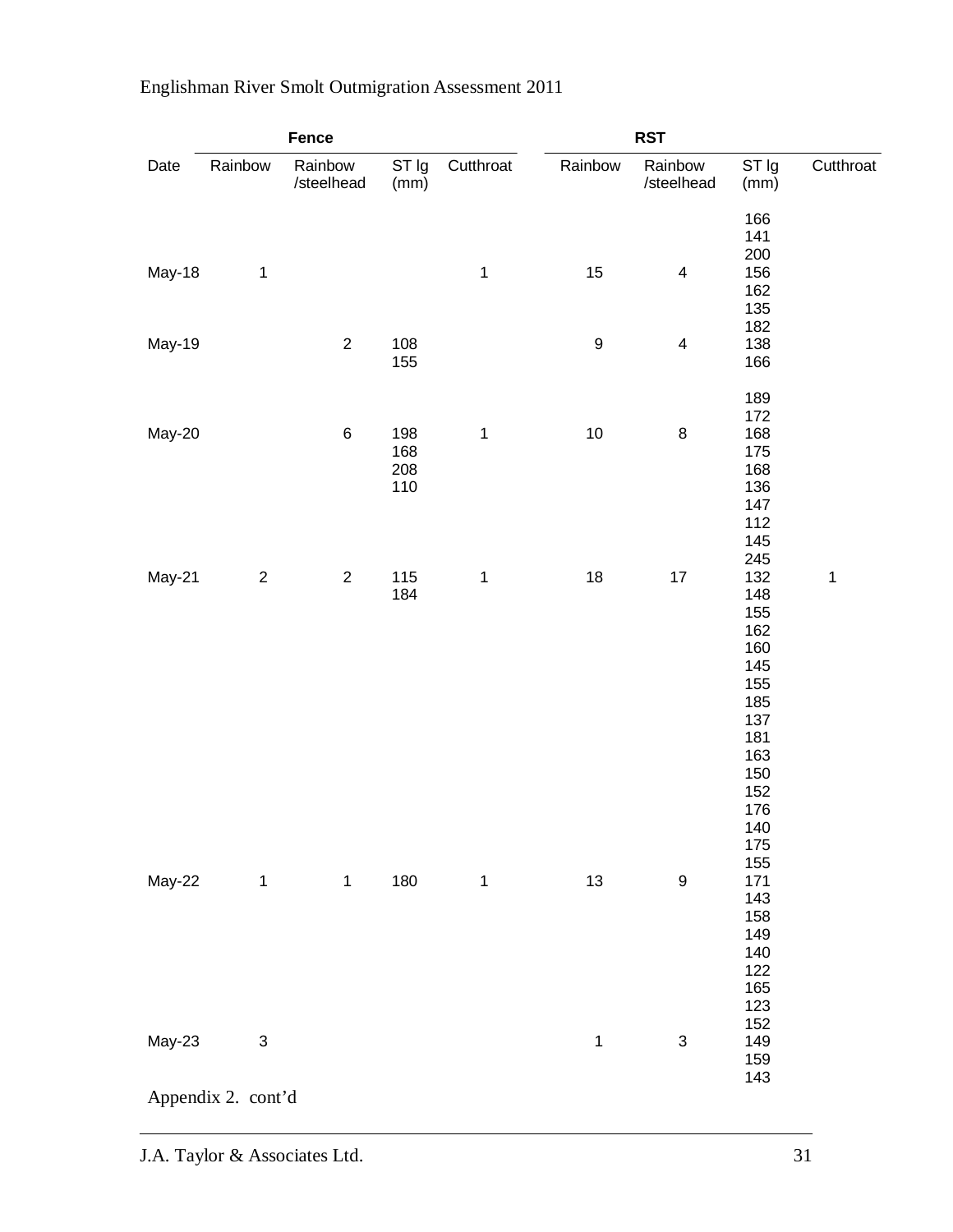|        | Fence                                           |                       |                          |              | <b>RST</b>       |                           |                                                                                                              |              |  |
|--------|-------------------------------------------------|-----------------------|--------------------------|--------------|------------------|---------------------------|--------------------------------------------------------------------------------------------------------------|--------------|--|
| Date   | Rainbow                                         | Rainbow<br>/steelhead | ST Ig<br>(mm)            | Cutthroat    | Rainbow          | Rainbow<br>/steelhead     | ST Ig<br>(mm)                                                                                                | Cutthroat    |  |
| May-18 | $\mathbf{1}$                                    |                       |                          | $\mathbf{1}$ | 15               | $\overline{\mathbf{4}}$   | 166<br>141<br>200<br>156<br>162<br>135                                                                       |              |  |
| May-19 |                                                 | $\overline{2}$        | 108<br>155               |              | $\boldsymbol{9}$ | $\overline{\mathbf{4}}$   | 182<br>138<br>166                                                                                            |              |  |
| May-20 |                                                 | $\,6$                 | 198<br>168<br>208<br>110 | $\mathbf 1$  | $10$             | $\bf 8$                   | 189<br>172<br>168<br>175<br>168<br>136<br>147<br>112<br>145                                                  |              |  |
| May-21 | $\sqrt{2}$                                      | $\sqrt{2}$            | 115<br>184               | $\mathbf 1$  | $18\,$           | $17$                      | 245<br>132<br>148<br>155<br>162<br>160<br>145<br>155<br>185<br>137<br>181<br>163<br>150<br>152<br>176<br>140 | $\mathbf{1}$ |  |
| May-22 | $\mathbf{1}$                                    | $\mathbf 1$           | 180                      | $\mathbf{1}$ | 13               | $\boldsymbol{9}$          | 175<br>155<br>171<br>143<br>158<br>149<br>140<br>122<br>165                                                  |              |  |
| May-23 | $\ensuremath{\mathsf{3}}$<br>Appendix 2. cont'd |                       |                          |              | $\mathbf 1$      | $\ensuremath{\mathsf{3}}$ | 123<br>152<br>149<br>159<br>143                                                                              |              |  |
|        |                                                 |                       |                          |              |                  |                           |                                                                                                              |              |  |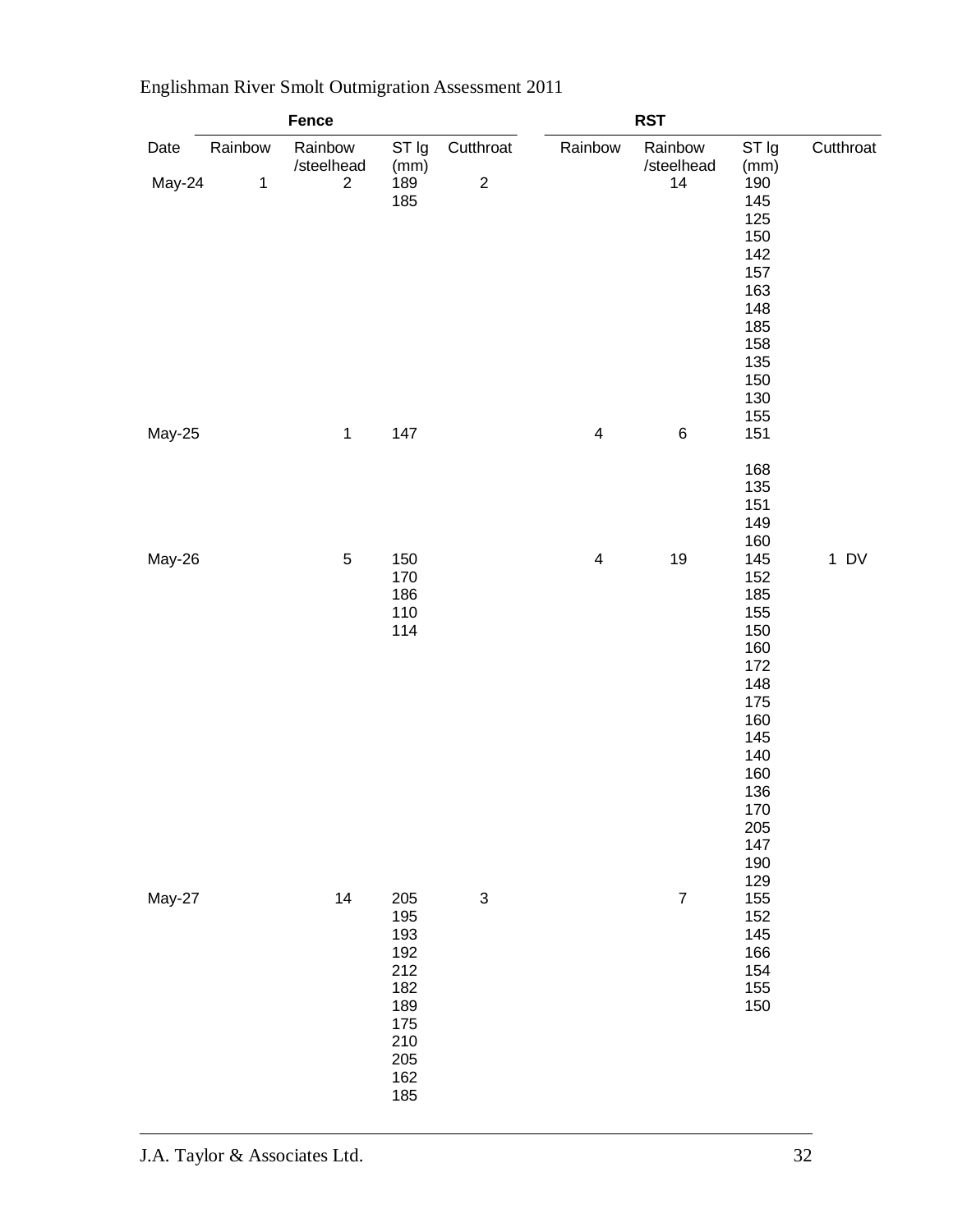| Fence          |                         |                                           |                                                                                  | <b>RST</b>                    |                         |                             |                                                                                                                                       |           |
|----------------|-------------------------|-------------------------------------------|----------------------------------------------------------------------------------|-------------------------------|-------------------------|-----------------------------|---------------------------------------------------------------------------------------------------------------------------------------|-----------|
| Date<br>May-24 | Rainbow<br>$\mathbf{1}$ | Rainbow<br>/steelhead<br>$\boldsymbol{2}$ | ST Ig<br>(mm)<br>189<br>185                                                      | Cutthroat<br>$\boldsymbol{2}$ | Rainbow                 | Rainbow<br>/steelhead<br>14 | ST Ig<br>(mm)<br>190<br>145<br>125<br>150<br>142<br>157<br>163<br>148<br>185<br>158<br>135<br>150<br>130                              | Cutthroat |
| May-25         |                         | $\mathbf{1}$                              | 147                                                                              |                               | $\overline{4}$          | $\,6$                       | 155<br>151<br>168<br>135<br>151<br>149<br>160                                                                                         |           |
| May-26         |                         | $\sqrt{5}$                                | 150<br>170<br>186<br>110<br>114                                                  |                               | $\overline{\mathbf{4}}$ | $19$                        | 145<br>152<br>185<br>155<br>150<br>160<br>172<br>148<br>175<br>160<br>145<br>140<br>160<br>136<br>$170\,$<br>205<br>147<br>190<br>129 | $1$ DV    |
| May-27         |                         | 14                                        | 205<br>195<br>193<br>192<br>212<br>182<br>189<br>175<br>210<br>205<br>162<br>185 | $\ensuremath{\mathsf{3}}$     |                         | $\boldsymbol{7}$            | 155<br>152<br>145<br>166<br>154<br>155<br>150                                                                                         |           |

J.A. Taylor & Associates Ltd. 32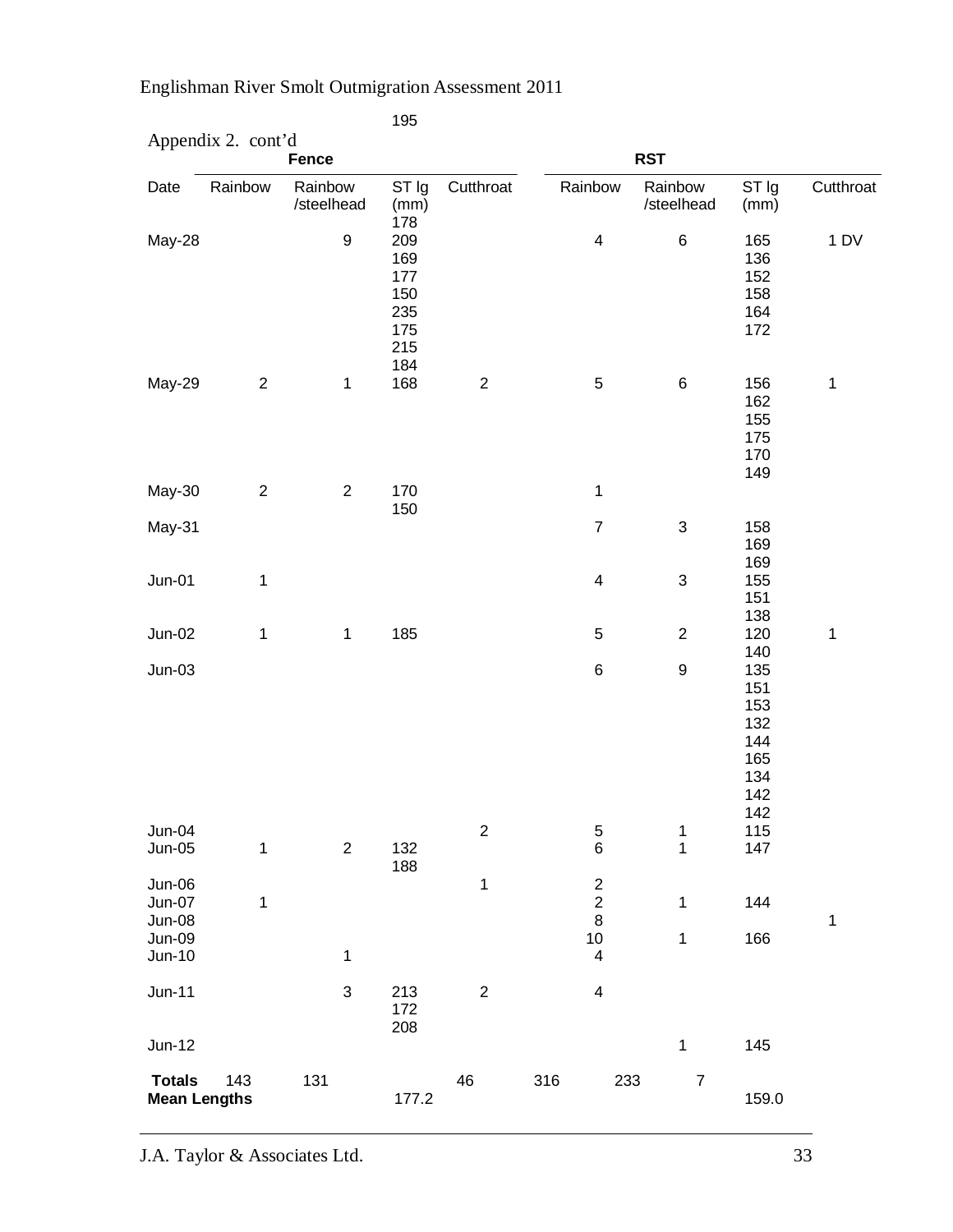|                                                  | Appendix 2. cont'd | <b>Fence</b>          |                                                      |                  |     |                                                           | <b>RST</b>                 |                                                             |              |
|--------------------------------------------------|--------------------|-----------------------|------------------------------------------------------|------------------|-----|-----------------------------------------------------------|----------------------------|-------------------------------------------------------------|--------------|
| Date                                             | Rainbow            | Rainbow<br>/steelhead | ST Ig<br>(mm)<br>178                                 | Cutthroat        |     | Rainbow                                                   | Rainbow<br>/steelhead      | ST Ig<br>(mm)                                               | Cutthroat    |
| May-28                                           |                    | $\boldsymbol{9}$      | 209<br>169<br>177<br>150<br>235<br>175<br>215<br>184 |                  |     | $\overline{\mathbf{4}}$                                   | $\,6$                      | 165<br>136<br>152<br>158<br>164<br>172                      | 1DV          |
| May-29                                           | $\sqrt{2}$         | $\mathbf{1}$          | 168                                                  | $\boldsymbol{2}$ |     | $\mathbf 5$                                               | $\,6$                      | 156<br>162<br>155<br>175<br>170<br>149                      | $\mathbf 1$  |
| May-30                                           | $\sqrt{2}$         | $\sqrt{2}$            | 170                                                  |                  |     | 1                                                         |                            |                                                             |              |
| May-31                                           |                    |                       | 150                                                  |                  |     | $\overline{7}$                                            | $\ensuremath{\mathsf{3}}$  | 158<br>169<br>169                                           |              |
| $Jun-01$                                         | 1                  |                       |                                                      |                  |     | $\overline{\mathbf{4}}$                                   | $\ensuremath{\mathsf{3}}$  | 155<br>151<br>138                                           |              |
| Jun-02                                           | 1                  | $\mathbf{1}$          | 185                                                  |                  |     | $\mathbf 5$                                               | $\boldsymbol{2}$           | 120<br>140                                                  | $\mathbf{1}$ |
| $Jun-03$                                         |                    |                       |                                                      |                  |     | $\,6$                                                     | $\boldsymbol{9}$           | 135<br>151<br>153<br>132<br>144<br>165<br>134<br>142<br>142 |              |
| $Jun-04$<br>$Jun-05$                             | 1                  | $\boldsymbol{2}$      | 132                                                  | $\boldsymbol{2}$ |     | 5<br>$\,6$                                                | 1<br>$\mathbf 1$           | 115<br>147                                                  |              |
| Jun-06<br>Jun-07<br>Jun-08<br>Jun-09<br>$Jun-10$ | 1                  | $\mathbf 1$           | 188                                                  | $\mathbf 1$      |     | $\frac{2}{2}$<br>$\bf 8$<br>10<br>$\overline{\mathbf{4}}$ | $\mathbf 1$<br>$\mathbf 1$ | 144<br>166                                                  | $\mathbf{1}$ |
| $Jun-11$                                         |                    | $\mathfrak{B}$        | 213<br>172<br>208                                    | $\boldsymbol{2}$ |     | $\overline{\mathcal{A}}$                                  |                            |                                                             |              |
| $Jun-12$                                         |                    |                       |                                                      |                  |     |                                                           | $\mathbf 1$                | 145                                                         |              |
| <b>Totals</b><br><b>Mean Lengths</b>             | 143                | 131                   | 177.2                                                | 46               | 316 | 233                                                       | $\boldsymbol{7}$           | 159.0                                                       |              |

195

J.A. Taylor & Associates Ltd. 33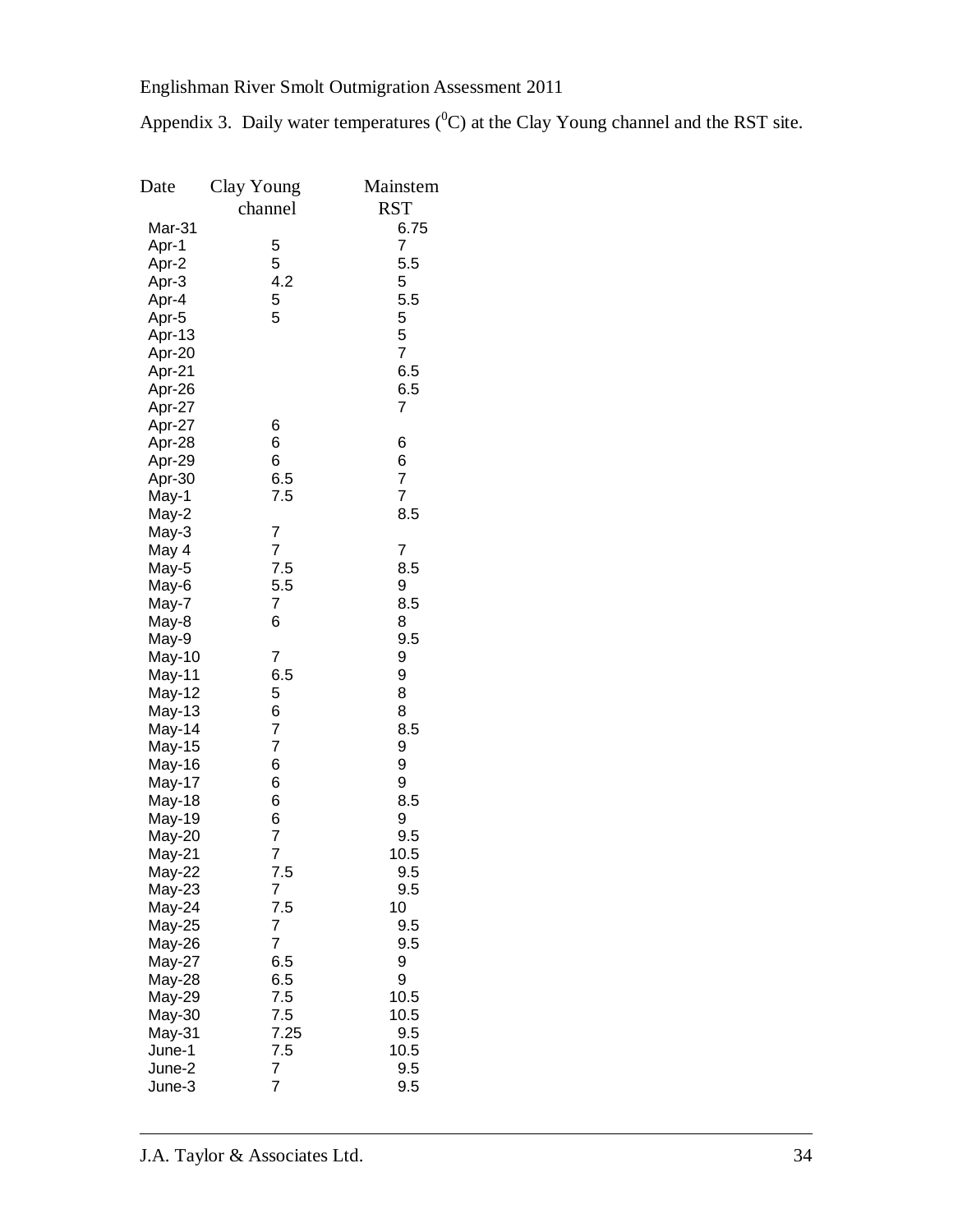Appendix 3. Daily water temperatures  $(^0C)$  at the Clay Young channel and the RST site.

| Date             | Clay Young                       | Mainstem       |
|------------------|----------------------------------|----------------|
|                  | channel                          | <b>RST</b>     |
| Mar-31           |                                  | 6.75           |
| Apr-1            | 5                                | 7              |
| Apr-2            | 5                                | 5.5            |
| Apr-3            | 4.2                              | 5              |
| Apr-4            | 5                                | 5.5            |
| Apr-5            | 5                                | 5              |
| Apr-13           |                                  | 5              |
| Apr-20           |                                  | $\overline{7}$ |
| Apr-21           |                                  | 6.5            |
| Apr-26           |                                  | 6.5            |
| Apr-27           |                                  | 7              |
| Apr-27           | 6                                |                |
| Apr-28           | 6                                | 6              |
| Apr-29           | 6                                | 6              |
| Apr-30           | 6.5                              | $\overline{7}$ |
| May-1            | 7.5                              | $\overline{7}$ |
| May-2            |                                  | 8.5            |
| May-3            | 7<br>$\overline{7}$              | 7              |
| May 4            | 7.5                              | 8.5            |
| May-5<br>May-6   | 5.5                              | 9              |
| May-7            | 7                                | 8.5            |
| May-8            | 6                                | 8              |
| May-9            |                                  | 9.5            |
| May-10           | 7                                | 9              |
| May-11           | 6.5                              | 9              |
| May-12           | 5                                | 8              |
| May-13           | 6                                | 8              |
| May-14           | $\overline{7}$                   | 8.5            |
| May-15           | $\overline{7}$                   | 9              |
| May-16           | 6                                | 9              |
| May-17           | 6                                | 9              |
| May-18           | 6                                | 8.5            |
| May-19           | 6                                | 9              |
| May-20           | $\overline{7}$<br>$\overline{7}$ | 9.5            |
| May-21           |                                  | 10.5           |
| May-22           | 7.5                              | 9.5            |
| May-23<br>May-24 | 7<br>7.5                         | 9.5<br>10      |
| May-25           | $\overline{7}$                   | 9.5            |
| May-26           | 7                                | 9.5            |
| May-27           | 6.5                              | 9              |
| May-28           | 6.5                              | 9              |
| May-29           | 7.5                              | 10.5           |
| May-30           | 7.5                              | 10.5           |
| May-31           | 7.25                             | 9.5            |
| June-1           | 7.5                              | 10.5           |
| June-2           | 7                                | 9.5            |
| June-3           | 7                                | 9.5            |